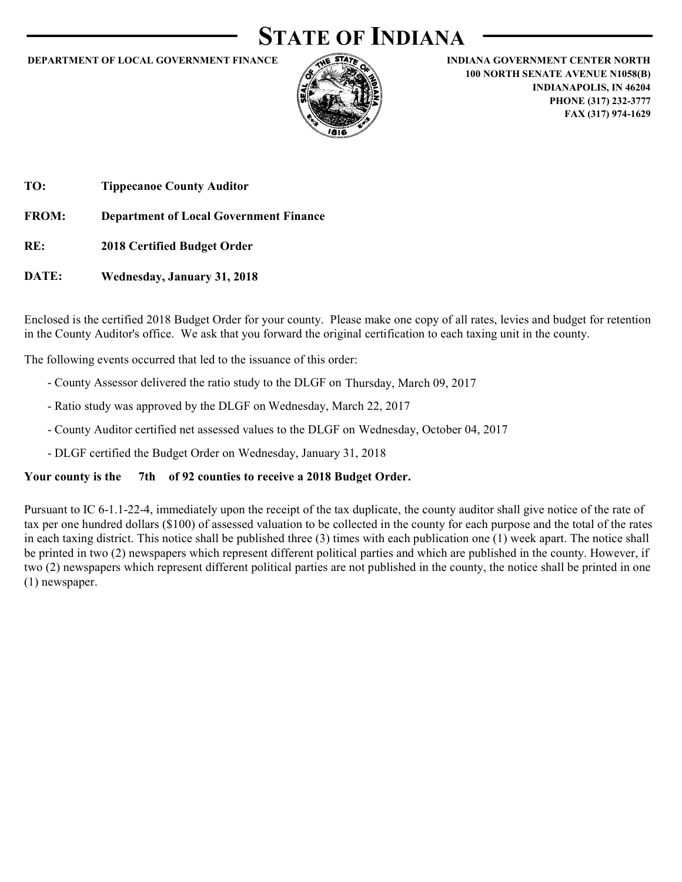# **STATE OF INDIANA**

#### **DEPARTMENT OF LOCAL GOVERNMENT FINANCE INDIANA GOVERNMENT CENTER NORTH**



**100 NORTH SENATE AVENUE N1058(B) INDIANAPOLIS, IN 46204 PHONE (317) 232-3777 FAX (317) 974-1629**

**TO: Tippecanoe County Auditor**

**FROM: Department of Local Government Finance**

**RE: 2018 Certified Budget Order**

**DATE: Wednesday, January 31, 2018**

Enclosed is the certified 2018 Budget Order for your county. Please make one copy of all rates, levies and budget for retention in the County Auditor's office. We ask that you forward the original certification to each taxing unit in the county.

The following events occurred that led to the issuance of this order:

- County Assessor delivered the ratio study to the DLGF on Thursday, March 09, 2017
- Ratio study was approved by the DLGF on Wednesday, March 22, 2017
- County Auditor certified net assessed values to the DLGF on Wednesday, October 04, 2017
- DLGF certified the Budget Order on Wednesday, January 31, 2018

#### Your county is the 7th of 92 counties to receive a 2018 Budget Order.

Pursuant to IC 6-1.1-22-4, immediately upon the receipt of the tax duplicate, the county auditor shall give notice of the rate of tax per one hundred dollars (\$100) of assessed valuation to be collected in the county for each purpose and the total of the rates in each taxing district. This notice shall be published three (3) times with each publication one (1) week apart. The notice shall be printed in two (2) newspapers which represent different political parties and which are published in the county. However, if two (2) newspapers which represent different political parties are not published in the county, the notice shall be printed in one (1) newspaper.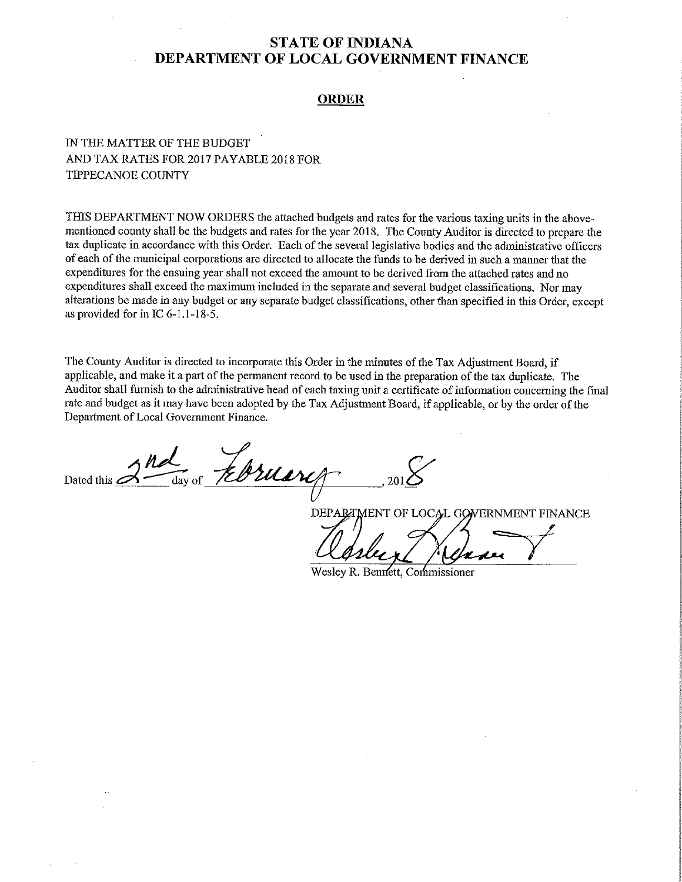#### **ORDER**

# IN THE MATTER OF THE BUDGET AND TAX RATES FOR 2017 PAYABLE 2018 FOR **TIPPECANOE COUNTY**

THIS DEPARTMENT NOW ORDERS the attached budgets and rates for the various taxing units in the abovementioned county shall be the budgets and rates for the year 2018. The County Auditor is directed to prepare the tax duplicate in accordance with this Order. Each of the several legislative bodies and the administrative officers of each of the municipal corporations are directed to allocate the funds to be derived in such a manner that the expenditures for the ensuing year shall not exceed the amount to be derived from the attached rates and no expenditures shall exceed the maximum included in the separate and several budget classifications. Nor may alterations be made in any budget or any separate budget classifications, other than specified in this Order, except as provided for in IC 6-1.1-18-5.

The County Auditor is directed to incorporate this Order in the minutes of the Tax Adjustment Board, if applicable, and make it a part of the permanent record to be used in the preparation of the tax duplicate. The Auditor shall furnish to the administrative head of each taxing unit a certificate of information concerning the final rate and budget as it may have been adopted by the Tax Adjustment Board, if applicable, or by the order of the Department of Local Government Finance.

Ebruary Dated this  $\angle$ 

DEPARTMENT OF LOCAL GOVERNMENT FINANCE

Weslev R. Bennett, Commissioner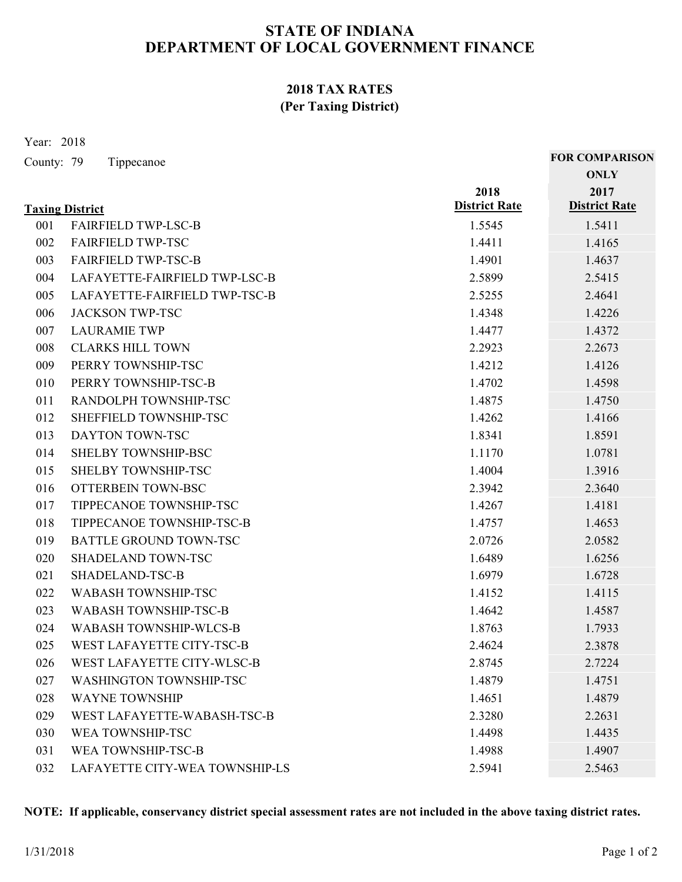# **2018 TAX RATES (Per Taxing District)**

Year: 2018

| County: 79 | Tippecanoe |  |
|------------|------------|--|
|            |            |  |

|     | <b>Taxing District</b>         | 2018<br><b>District Rate</b> | 2017<br><b>District Rate</b> |
|-----|--------------------------------|------------------------------|------------------------------|
| 001 | <b>FAIRFIELD TWP-LSC-B</b>     | 1.5545                       | 1.5411                       |
| 002 | <b>FAIRFIELD TWP-TSC</b>       | 1.4411                       | 1.4165                       |
| 003 | <b>FAIRFIELD TWP-TSC-B</b>     | 1.4901                       | 1.4637                       |
| 004 | LAFAYETTE-FAIRFIELD TWP-LSC-B  | 2.5899                       | 2.5415                       |
| 005 | LAFAYETTE-FAIRFIELD TWP-TSC-B  | 2.5255                       | 2.4641                       |
| 006 | <b>JACKSON TWP-TSC</b>         | 1.4348                       | 1.4226                       |
| 007 | <b>LAURAMIE TWP</b>            | 1.4477                       | 1.4372                       |
| 008 | <b>CLARKS HILL TOWN</b>        | 2.2923                       | 2.2673                       |
| 009 | PERRY TOWNSHIP-TSC             | 1.4212                       | 1.4126                       |
| 010 | PERRY TOWNSHIP-TSC-B           | 1.4702                       | 1.4598                       |
| 011 | RANDOLPH TOWNSHIP-TSC          | 1.4875                       | 1.4750                       |
| 012 | SHEFFIELD TOWNSHIP-TSC         | 1.4262                       | 1.4166                       |
| 013 | DAYTON TOWN-TSC                | 1.8341                       | 1.8591                       |
| 014 | SHELBY TOWNSHIP-BSC            | 1.1170                       | 1.0781                       |
| 015 | <b>SHELBY TOWNSHIP-TSC</b>     | 1.4004                       | 1.3916                       |
| 016 | OTTERBEIN TOWN-BSC             | 2.3942                       | 2.3640                       |
| 017 | TIPPECANOE TOWNSHIP-TSC        | 1.4267                       | 1.4181                       |
| 018 | TIPPECANOE TOWNSHIP-TSC-B      | 1.4757                       | 1.4653                       |
| 019 | <b>BATTLE GROUND TOWN-TSC</b>  | 2.0726                       | 2.0582                       |
| 020 | <b>SHADELAND TOWN-TSC</b>      | 1.6489                       | 1.6256                       |
| 021 | SHADELAND-TSC-B                | 1.6979                       | 1.6728                       |
| 022 | <b>WABASH TOWNSHIP-TSC</b>     | 1.4152                       | 1.4115                       |
| 023 | <b>WABASH TOWNSHIP-TSC-B</b>   | 1.4642                       | 1.4587                       |
| 024 | <b>WABASH TOWNSHIP-WLCS-B</b>  | 1.8763                       | 1.7933                       |
| 025 | WEST LAFAYETTE CITY-TSC-B      | 2.4624                       | 2.3878                       |
| 026 | WEST LAFAYETTE CITY-WLSC-B     | 2.8745                       | 2.7224                       |
| 027 | WASHINGTON TOWNSHIP-TSC        | 1.4879                       | 1.4751                       |
| 028 | <b>WAYNE TOWNSHIP</b>          | 1.4651                       | 1.4879                       |
| 029 | WEST LAFAYETTE-WABASH-TSC-B    | 2.3280                       | 2.2631                       |
| 030 | WEA TOWNSHIP-TSC               | 1.4498                       | 1.4435                       |
| 031 | WEA TOWNSHIP-TSC-B             | 1.4988                       | 1.4907                       |
| 032 | LAFAYETTE CITY-WEA TOWNSHIP-LS | 2.5941                       | 2.5463                       |

**NOTE: If applicable, conservancy district special assessment rates are not included in the above taxing district rates.**

**ONLY FOR COMPARISON**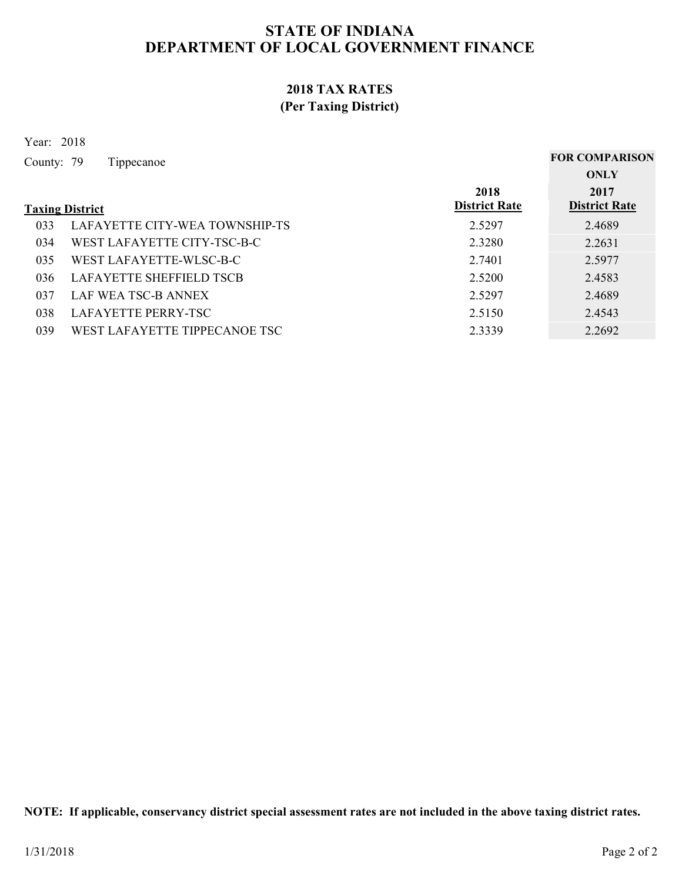# **2018 TAX RATES (Per Taxing District)**

Year: 2018

| County: 79 | Tippecanoe                      |                      | <b>FOR COMPARISON</b> |
|------------|---------------------------------|----------------------|-----------------------|
|            |                                 |                      | ONLY                  |
|            |                                 | 2018                 | 2017                  |
|            | <b>Taxing District</b>          | <b>District Rate</b> | <b>District Rate</b>  |
| 033        | LAFAYETTE CITY-WEA TOWNSHIP-TS  | 2.5297               | 2.4689                |
| 034        | WEST LAFAYETTE CITY-TSC-B-C     | 2.3280               | 2.2631                |
| 035        | WEST LAFAYETTE-WLSC-B-C         | 2.7401               | 2.5977                |
| 036        | <b>LAFAYETTE SHEFFIELD TSCB</b> | 2.5200               | 2.4583                |
| 037        | LAF WEA TSC-B ANNEX             | 2.5297               | 2.4689                |
| 038        | LAFAYETTE PERRY-TSC             | 2.5150               | 2.4543                |
|            |                                 |                      |                       |

039 WEST LAFAYETTE TIPPECANOE TSC 2.3339 2.2692

**NOTE: If applicable, conservancy district special assessment rates are not included in the above taxing district rates.**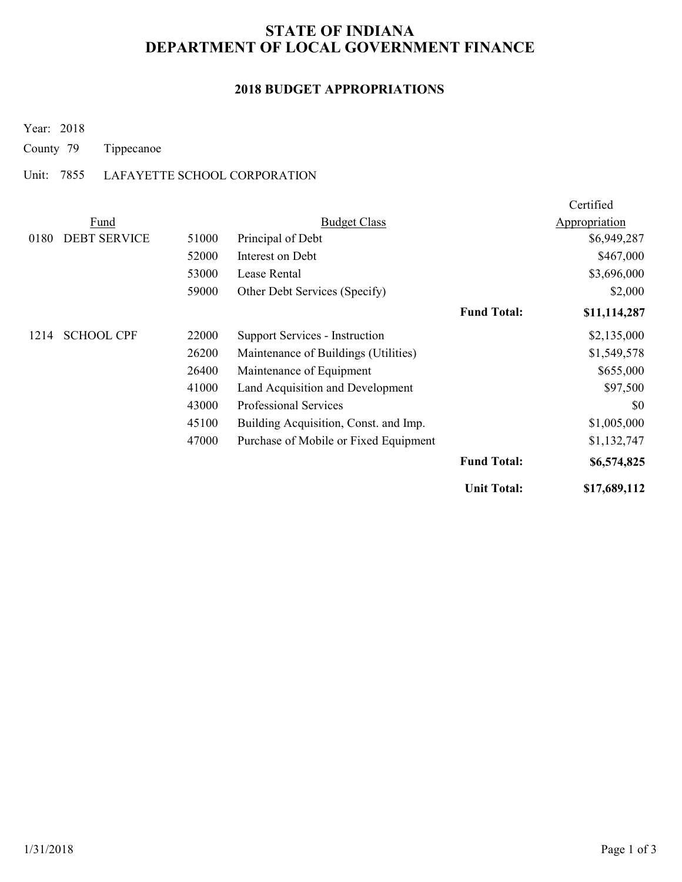# **2018 BUDGET APPROPRIATIONS**

Year: 2018

County 79 Tippecanoe

### Unit: 7855 LAFAYETTE SCHOOL CORPORATION

|      |                     |       |                                       |                    | Certified     |
|------|---------------------|-------|---------------------------------------|--------------------|---------------|
|      | Fund                |       | <b>Budget Class</b>                   |                    | Appropriation |
| 0180 | <b>DEBT SERVICE</b> | 51000 | Principal of Debt                     |                    | \$6,949,287   |
|      |                     | 52000 | Interest on Debt                      |                    | \$467,000     |
|      |                     | 53000 | Lease Rental                          |                    | \$3,696,000   |
|      |                     | 59000 | Other Debt Services (Specify)         |                    | \$2,000       |
|      |                     |       |                                       | <b>Fund Total:</b> | \$11,114,287  |
| 1214 | <b>SCHOOL CPF</b>   | 22000 | <b>Support Services - Instruction</b> |                    | \$2,135,000   |
|      |                     | 26200 | Maintenance of Buildings (Utilities)  |                    | \$1,549,578   |
|      |                     | 26400 | Maintenance of Equipment              |                    | \$655,000     |
|      |                     | 41000 | Land Acquisition and Development      |                    | \$97,500      |
|      |                     | 43000 | Professional Services                 |                    | \$0           |
|      |                     | 45100 | Building Acquisition, Const. and Imp. |                    | \$1,005,000   |
|      |                     | 47000 | Purchase of Mobile or Fixed Equipment |                    | \$1,132,747   |
|      |                     |       |                                       | <b>Fund Total:</b> | \$6,574,825   |
|      |                     |       |                                       | <b>Unit Total:</b> | \$17,689,112  |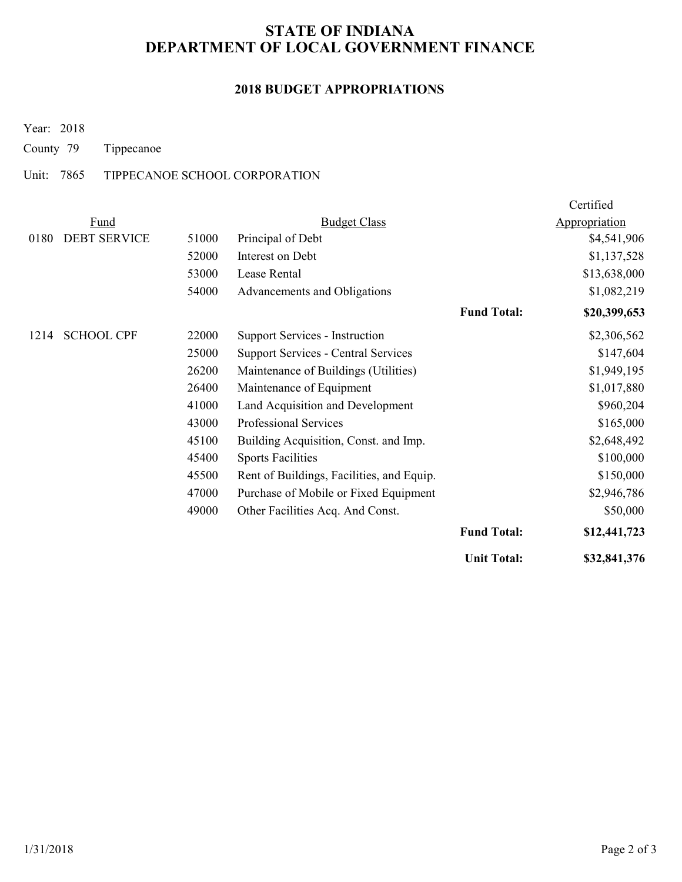# **2018 BUDGET APPROPRIATIONS**

Year: 2018

County 79 Tippecanoe

### Unit: 7865 TIPPECANOE SCHOOL CORPORATION

|      |                     |       |                                            |                    | Certified     |
|------|---------------------|-------|--------------------------------------------|--------------------|---------------|
|      | Fund                |       | <b>Budget Class</b>                        |                    | Appropriation |
| 0180 | <b>DEBT SERVICE</b> | 51000 | Principal of Debt                          |                    | \$4,541,906   |
|      |                     | 52000 | Interest on Debt                           |                    | \$1,137,528   |
|      |                     | 53000 | Lease Rental                               |                    | \$13,638,000  |
|      |                     | 54000 | Advancements and Obligations               |                    | \$1,082,219   |
|      |                     |       |                                            | <b>Fund Total:</b> | \$20,399,653  |
| 1214 | <b>SCHOOL CPF</b>   | 22000 | Support Services - Instruction             |                    | \$2,306,562   |
|      |                     | 25000 | <b>Support Services - Central Services</b> |                    | \$147,604     |
|      |                     | 26200 | Maintenance of Buildings (Utilities)       |                    | \$1,949,195   |
|      |                     | 26400 | Maintenance of Equipment                   |                    | \$1,017,880   |
|      |                     | 41000 | Land Acquisition and Development           |                    | \$960,204     |
|      |                     | 43000 | Professional Services                      |                    | \$165,000     |
|      |                     | 45100 | Building Acquisition, Const. and Imp.      |                    | \$2,648,492   |
|      |                     | 45400 | <b>Sports Facilities</b>                   |                    | \$100,000     |
|      |                     | 45500 | Rent of Buildings, Facilities, and Equip.  |                    | \$150,000     |
|      |                     | 47000 | Purchase of Mobile or Fixed Equipment      |                    | \$2,946,786   |
|      |                     | 49000 | Other Facilities Acq. And Const.           |                    | \$50,000      |
|      |                     |       |                                            | <b>Fund Total:</b> | \$12,441,723  |
|      |                     |       |                                            | <b>Unit Total:</b> | \$32,841,376  |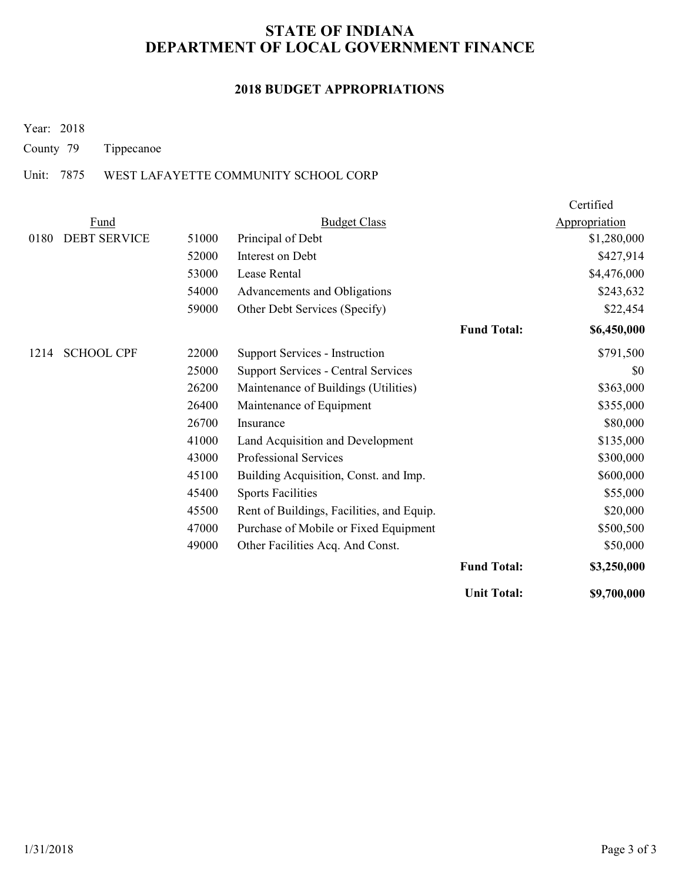### **2018 BUDGET APPROPRIATIONS**

Year: 2018

County 79 Tippecanoe

### Unit: 7875 WEST LAFAYETTE COMMUNITY SCHOOL CORP

|      |                     |       |                                            |                    | Certified     |
|------|---------------------|-------|--------------------------------------------|--------------------|---------------|
|      | Fund                |       | <b>Budget Class</b>                        |                    | Appropriation |
| 0180 | <b>DEBT SERVICE</b> | 51000 | Principal of Debt                          |                    | \$1,280,000   |
|      |                     | 52000 | Interest on Debt                           |                    | \$427,914     |
|      |                     | 53000 | Lease Rental                               |                    | \$4,476,000   |
|      |                     | 54000 | Advancements and Obligations               |                    | \$243,632     |
|      |                     | 59000 | Other Debt Services (Specify)              |                    | \$22,454      |
|      |                     |       |                                            | <b>Fund Total:</b> | \$6,450,000   |
| 1214 | <b>SCHOOL CPF</b>   | 22000 | Support Services - Instruction             |                    | \$791,500     |
|      |                     | 25000 | <b>Support Services - Central Services</b> |                    | \$0           |
|      |                     | 26200 | Maintenance of Buildings (Utilities)       |                    | \$363,000     |
|      |                     | 26400 | Maintenance of Equipment                   |                    | \$355,000     |
|      |                     | 26700 | Insurance                                  |                    | \$80,000      |
|      |                     | 41000 | Land Acquisition and Development           |                    | \$135,000     |
|      |                     | 43000 | <b>Professional Services</b>               |                    | \$300,000     |
|      |                     | 45100 | Building Acquisition, Const. and Imp.      |                    | \$600,000     |
|      |                     | 45400 | <b>Sports Facilities</b>                   |                    | \$55,000      |
|      |                     | 45500 | Rent of Buildings, Facilities, and Equip.  |                    | \$20,000      |
|      |                     | 47000 | Purchase of Mobile or Fixed Equipment      |                    | \$500,500     |
|      |                     | 49000 | Other Facilities Acq. And Const.           |                    | \$50,000      |
|      |                     |       |                                            | <b>Fund Total:</b> | \$3,250,000   |
|      |                     |       |                                            | <b>Unit Total:</b> | \$9,700,000   |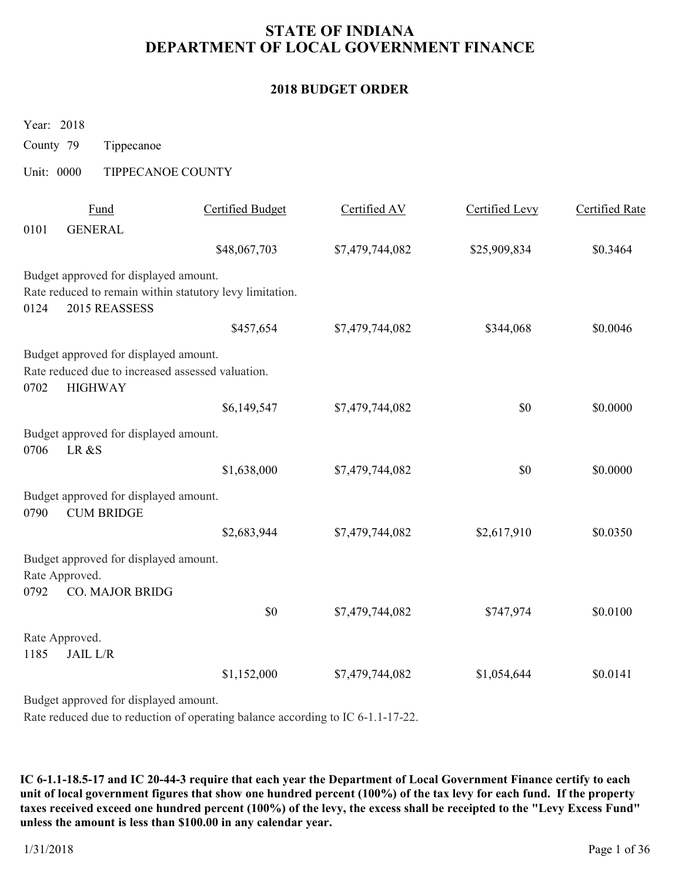### **2018 BUDGET ORDER**

Year: 2018

County 79 Tippecanoe

Unit: 0000 TIPPECANOE COUNTY

|      | Fund                                                                | <b>Certified Budget</b>                                  | Certified AV    | Certified Levy | <b>Certified Rate</b> |
|------|---------------------------------------------------------------------|----------------------------------------------------------|-----------------|----------------|-----------------------|
| 0101 | <b>GENERAL</b>                                                      |                                                          |                 |                |                       |
|      |                                                                     | \$48,067,703                                             | \$7,479,744,082 | \$25,909,834   | \$0.3464              |
|      | Budget approved for displayed amount.                               |                                                          |                 |                |                       |
| 0124 | 2015 REASSESS                                                       | Rate reduced to remain within statutory levy limitation. |                 |                |                       |
|      |                                                                     | \$457,654                                                | \$7,479,744,082 | \$344,068      | \$0.0046              |
|      | Budget approved for displayed amount.                               |                                                          |                 |                |                       |
| 0702 | Rate reduced due to increased assessed valuation.<br><b>HIGHWAY</b> |                                                          |                 |                |                       |
|      |                                                                     | \$6,149,547                                              | \$7,479,744,082 | \$0            | \$0.0000              |
| 0706 | Budget approved for displayed amount.<br>LR&S                       |                                                          |                 |                |                       |
|      |                                                                     | \$1,638,000                                              | \$7,479,744,082 | \$0            | \$0.0000              |
| 0790 | Budget approved for displayed amount.<br><b>CUM BRIDGE</b>          |                                                          |                 |                |                       |
|      |                                                                     | \$2,683,944                                              | \$7,479,744,082 | \$2,617,910    | \$0.0350              |
|      | Budget approved for displayed amount.<br>Rate Approved.             |                                                          |                 |                |                       |
| 0792 | <b>CO. MAJOR BRIDG</b>                                              |                                                          |                 |                |                       |
|      |                                                                     | \$0                                                      | \$7,479,744,082 | \$747,974      | \$0.0100              |
| 1185 | Rate Approved.<br>JAIL L/R                                          |                                                          |                 |                |                       |
|      |                                                                     | \$1,152,000                                              | \$7,479,744,082 | \$1,054,644    | \$0.0141              |
|      | Budget approved for displayed amount.                               |                                                          |                 |                |                       |

Rate reduced due to reduction of operating balance according to IC 6-1.1-17-22.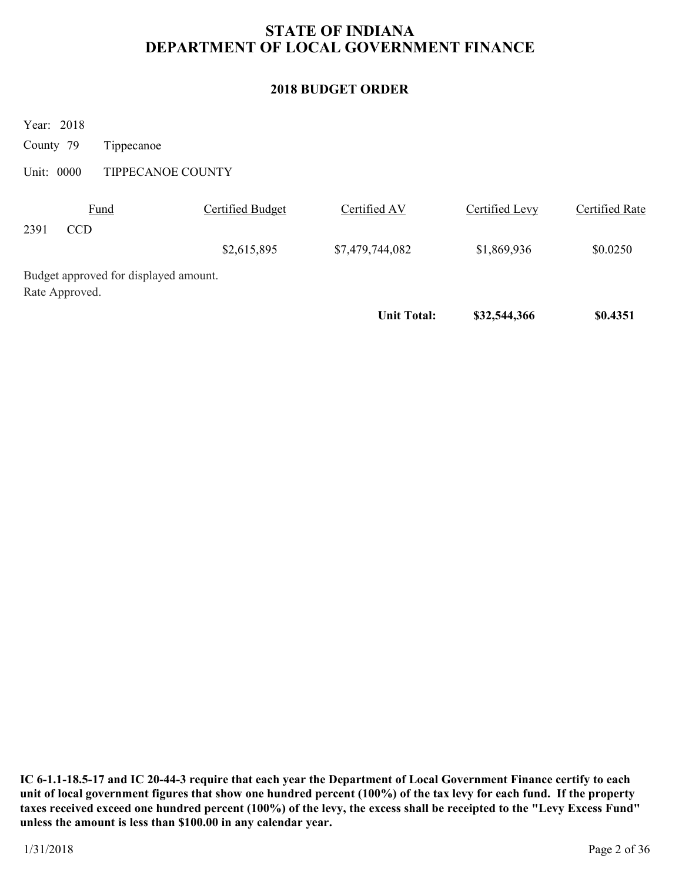# **2018 BUDGET ORDER**

Year: 2018

County 79 Tippecanoe

Unit: 0000 TIPPECANOE COUNTY

|      |                                       |                  | <b>Unit Total:</b> | \$32,544,366   | \$0.4351       |
|------|---------------------------------------|------------------|--------------------|----------------|----------------|
|      | Rate Approved.                        |                  |                    |                |                |
|      | Budget approved for displayed amount. |                  |                    |                |                |
|      |                                       | \$2,615,895      | \$7,479,744,082    | \$1,869,936    | \$0.0250       |
| 2391 | <b>CCD</b>                            |                  |                    |                |                |
|      | Fund                                  | Certified Budget | Certified AV       | Certified Levy | Certified Rate |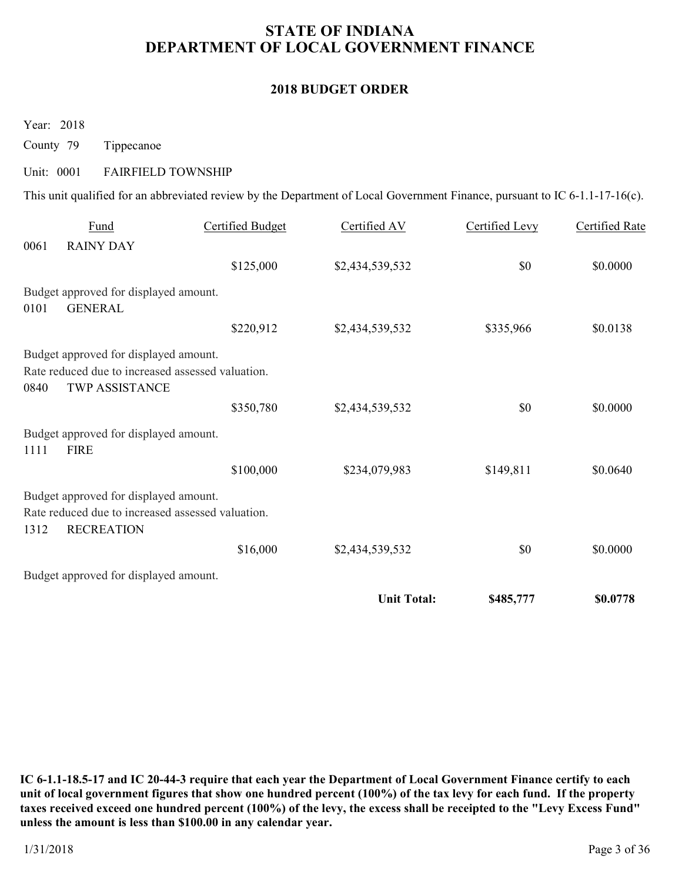#### **2018 BUDGET ORDER**

Year: 2018

County 79 Tippecanoe

# Unit: 0001 FAIRFIELD TOWNSHIP

This unit qualified for an abbreviated review by the Department of Local Government Finance, pursuant to IC 6-1.1-17-16(c).

|      | <b>Fund</b>                                                                                                         | <b>Certified Budget</b> | Certified AV       | Certified Levy | Certified Rate |
|------|---------------------------------------------------------------------------------------------------------------------|-------------------------|--------------------|----------------|----------------|
| 0061 | <b>RAINY DAY</b>                                                                                                    |                         |                    |                |                |
|      |                                                                                                                     | \$125,000               | \$2,434,539,532    | \$0            | \$0.0000       |
| 0101 | Budget approved for displayed amount.<br><b>GENERAL</b>                                                             |                         |                    |                |                |
|      |                                                                                                                     | \$220,912               | \$2,434,539,532    | \$335,966      | \$0.0138       |
| 0840 | Budget approved for displayed amount.<br>Rate reduced due to increased assessed valuation.<br><b>TWP ASSISTANCE</b> |                         |                    |                |                |
|      |                                                                                                                     | \$350,780               | \$2,434,539,532    | \$0            | \$0.0000       |
| 1111 | Budget approved for displayed amount.<br><b>FIRE</b>                                                                |                         |                    |                |                |
|      |                                                                                                                     | \$100,000               | \$234,079,983      | \$149,811      | \$0.0640       |
| 1312 | Budget approved for displayed amount.<br>Rate reduced due to increased assessed valuation.<br><b>RECREATION</b>     |                         |                    |                |                |
|      |                                                                                                                     | \$16,000                | \$2,434,539,532    | \$0            | \$0.0000       |
|      | Budget approved for displayed amount.                                                                               |                         |                    |                |                |
|      |                                                                                                                     |                         | <b>Unit Total:</b> | \$485,777      | \$0.0778       |
|      |                                                                                                                     |                         |                    |                |                |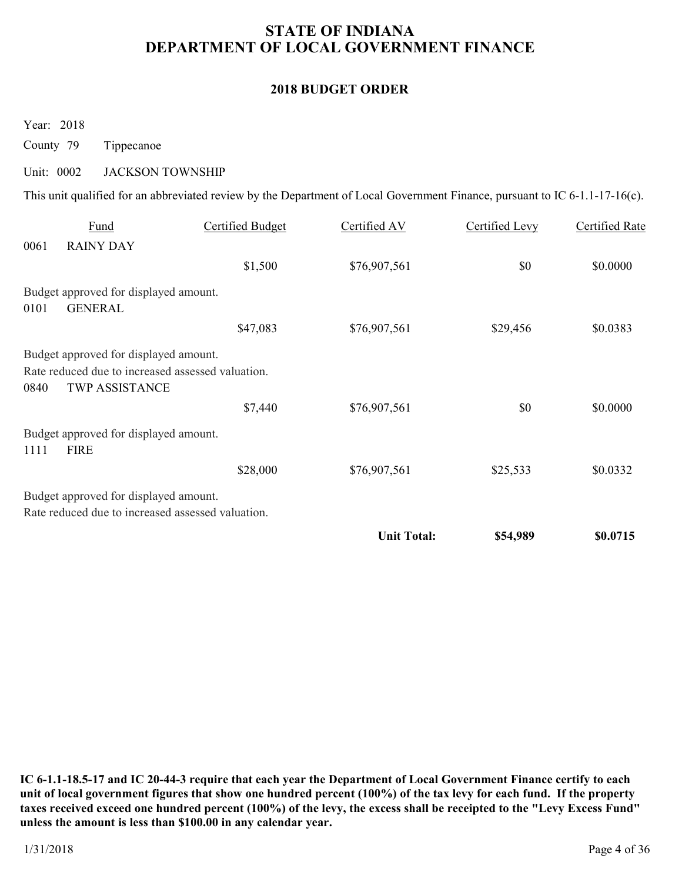### **2018 BUDGET ORDER**

Year: 2018

County 79 Tippecanoe

### Unit: 0002 JACKSON TOWNSHIP

This unit qualified for an abbreviated review by the Department of Local Government Finance, pursuant to IC 6-1.1-17-16(c).

|      | Fund                                                                                                                | Certified Budget | Certified AV       | Certified Levy | Certified Rate |
|------|---------------------------------------------------------------------------------------------------------------------|------------------|--------------------|----------------|----------------|
| 0061 | <b>RAINY DAY</b>                                                                                                    |                  |                    |                |                |
|      |                                                                                                                     | \$1,500          | \$76,907,561       | \$0            | \$0.0000       |
| 0101 | Budget approved for displayed amount.<br><b>GENERAL</b>                                                             |                  |                    |                |                |
|      |                                                                                                                     | \$47,083         | \$76,907,561       | \$29,456       | \$0.0383       |
| 0840 | Budget approved for displayed amount.<br>Rate reduced due to increased assessed valuation.<br><b>TWP ASSISTANCE</b> |                  |                    |                |                |
|      |                                                                                                                     | \$7,440          | \$76,907,561       | \$0            | \$0.0000       |
| 1111 | Budget approved for displayed amount.<br><b>FIRE</b>                                                                |                  |                    |                |                |
|      |                                                                                                                     | \$28,000         | \$76,907,561       | \$25,533       | \$0.0332       |
|      | Budget approved for displayed amount.<br>Rate reduced due to increased assessed valuation.                          |                  |                    |                |                |
|      |                                                                                                                     |                  | <b>Unit Total:</b> | \$54,989       | \$0.0715       |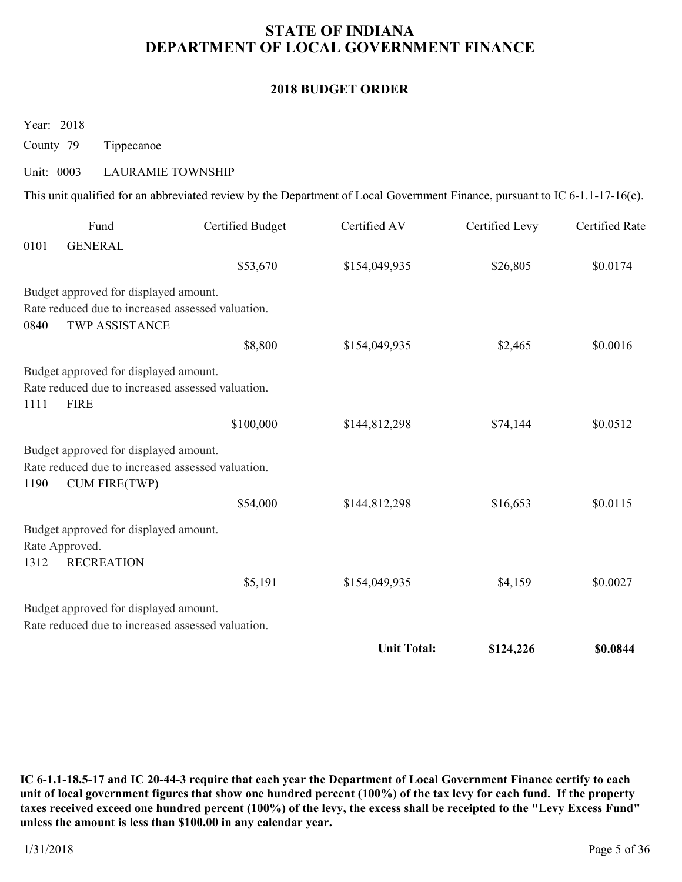#### **2018 BUDGET ORDER**

Year: 2018

County 79 Tippecanoe

#### Unit: 0003 LAURAMIE TOWNSHIP

This unit qualified for an abbreviated review by the Department of Local Government Finance, pursuant to IC 6-1.1-17-16(c).

|      | Fund                                                                      | <b>Certified Budget</b> | Certified AV       | Certified Levy | Certified Rate |
|------|---------------------------------------------------------------------------|-------------------------|--------------------|----------------|----------------|
| 0101 | <b>GENERAL</b>                                                            |                         |                    |                |                |
|      |                                                                           | \$53,670                | \$154,049,935      | \$26,805       | \$0.0174       |
|      | Budget approved for displayed amount.                                     |                         |                    |                |                |
|      | Rate reduced due to increased assessed valuation.                         |                         |                    |                |                |
| 0840 | <b>TWP ASSISTANCE</b>                                                     |                         |                    |                |                |
|      |                                                                           | \$8,800                 | \$154,049,935      | \$2,465        | \$0.0016       |
|      | Budget approved for displayed amount.                                     |                         |                    |                |                |
|      | Rate reduced due to increased assessed valuation.                         |                         |                    |                |                |
| 1111 | <b>FIRE</b>                                                               |                         |                    |                |                |
|      |                                                                           | \$100,000               | \$144,812,298      | \$74,144       | \$0.0512       |
|      | Budget approved for displayed amount.                                     |                         |                    |                |                |
| 1190 | Rate reduced due to increased assessed valuation.<br><b>CUM FIRE(TWP)</b> |                         |                    |                |                |
|      |                                                                           | \$54,000                | \$144,812,298      | \$16,653       | \$0.0115       |
|      | Budget approved for displayed amount.                                     |                         |                    |                |                |
|      | Rate Approved.                                                            |                         |                    |                |                |
| 1312 | <b>RECREATION</b>                                                         |                         |                    |                |                |
|      |                                                                           | \$5,191                 | \$154,049,935      | \$4,159        | \$0.0027       |
|      | Budget approved for displayed amount.                                     |                         |                    |                |                |
|      | Rate reduced due to increased assessed valuation.                         |                         |                    |                |                |
|      |                                                                           |                         | <b>Unit Total:</b> | \$124,226      | \$0.0844       |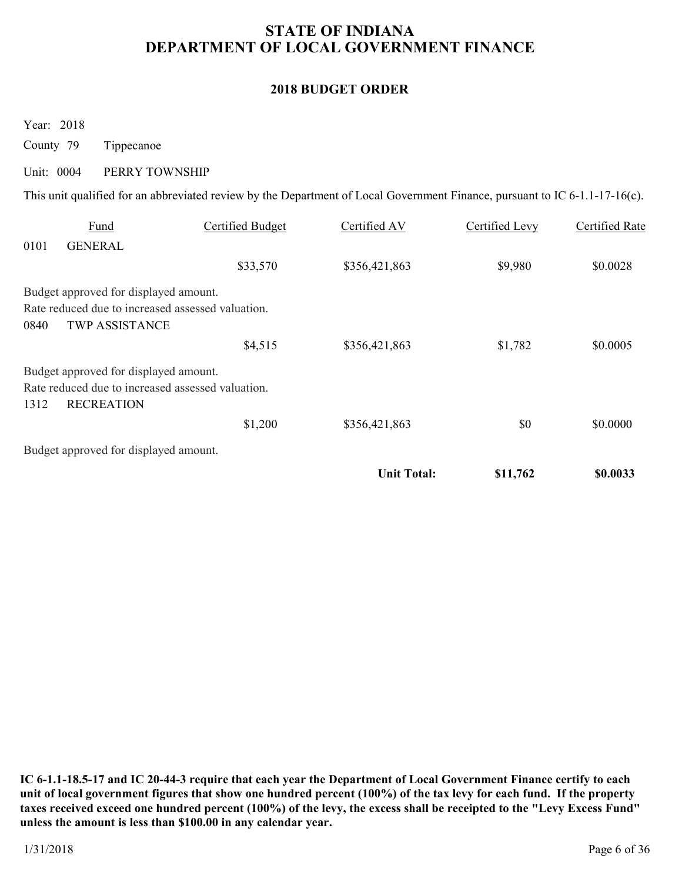### **2018 BUDGET ORDER**

Year: 2018

County 79 Tippecanoe

### Unit: 0004 PERRY TOWNSHIP

This unit qualified for an abbreviated review by the Department of Local Government Finance, pursuant to IC 6-1.1-17-16(c).

|      | Fund                                              | Certified Budget | Certified AV       | Certified Levy | Certified Rate |
|------|---------------------------------------------------|------------------|--------------------|----------------|----------------|
| 0101 | <b>GENERAL</b>                                    |                  |                    |                |                |
|      |                                                   | \$33,570         | \$356,421,863      | \$9,980        | \$0.0028       |
|      | Budget approved for displayed amount.             |                  |                    |                |                |
|      | Rate reduced due to increased assessed valuation. |                  |                    |                |                |
| 0840 | <b>TWP ASSISTANCE</b>                             |                  |                    |                |                |
|      |                                                   | \$4,515          | \$356,421,863      | \$1,782        | \$0.0005       |
|      | Budget approved for displayed amount.             |                  |                    |                |                |
|      | Rate reduced due to increased assessed valuation. |                  |                    |                |                |
| 1312 | <b>RECREATION</b>                                 |                  |                    |                |                |
|      |                                                   | \$1,200          | \$356,421,863      | \$0            | \$0.0000       |
|      | Budget approved for displayed amount.             |                  |                    |                |                |
|      |                                                   |                  | <b>Unit Total:</b> | \$11,762       | \$0.0033       |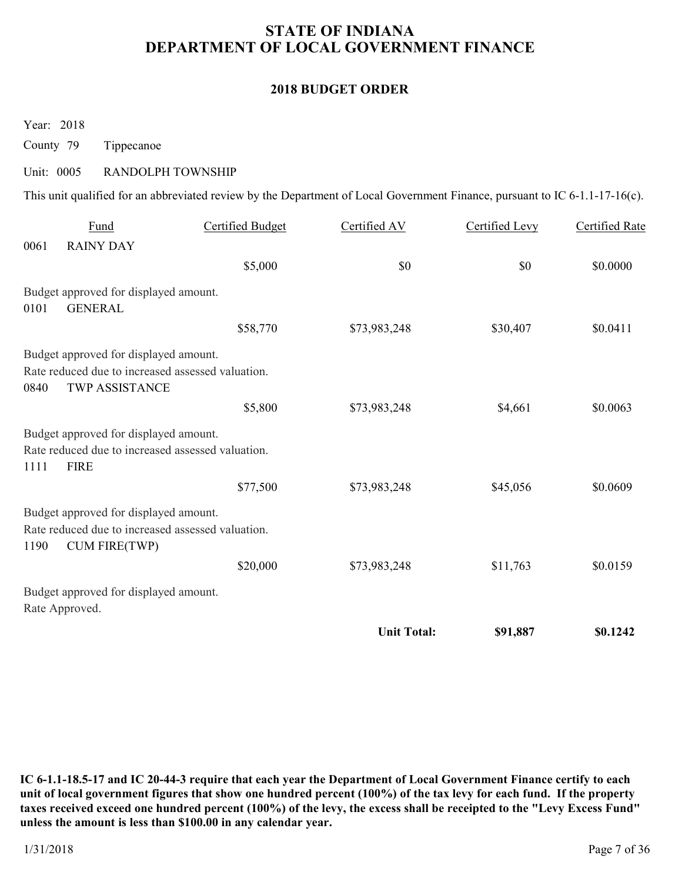#### **2018 BUDGET ORDER**

Year: 2018

County 79 Tippecanoe

#### Unit: 0005 RANDOLPH TOWNSHIP

This unit qualified for an abbreviated review by the Department of Local Government Finance, pursuant to IC 6-1.1-17-16(c).

|      | Fund                                                                       | <b>Certified Budget</b> | Certified AV       | Certified Levy | <b>Certified Rate</b> |
|------|----------------------------------------------------------------------------|-------------------------|--------------------|----------------|-----------------------|
| 0061 | <b>RAINY DAY</b>                                                           |                         |                    |                |                       |
|      |                                                                            | \$5,000                 | \$0                | \$0            | \$0.0000              |
|      | Budget approved for displayed amount.                                      |                         |                    |                |                       |
| 0101 | <b>GENERAL</b>                                                             |                         |                    |                |                       |
|      |                                                                            | \$58,770                | \$73,983,248       | \$30,407       | \$0.0411              |
|      | Budget approved for displayed amount.                                      |                         |                    |                |                       |
| 0840 | Rate reduced due to increased assessed valuation.<br><b>TWP ASSISTANCE</b> |                         |                    |                |                       |
|      |                                                                            | \$5,800                 | \$73,983,248       | \$4,661        | \$0.0063              |
|      | Budget approved for displayed amount.                                      |                         |                    |                |                       |
| 1111 | Rate reduced due to increased assessed valuation.<br><b>FIRE</b>           |                         |                    |                |                       |
|      |                                                                            | \$77,500                | \$73,983,248       | \$45,056       | \$0.0609              |
|      | Budget approved for displayed amount.                                      |                         |                    |                |                       |
| 1190 | Rate reduced due to increased assessed valuation.<br><b>CUM FIRE(TWP)</b>  |                         |                    |                |                       |
|      |                                                                            | \$20,000                | \$73,983,248       | \$11,763       | \$0.0159              |
|      | Budget approved for displayed amount.<br>Rate Approved.                    |                         |                    |                |                       |
|      |                                                                            |                         | <b>Unit Total:</b> | \$91,887       | \$0.1242              |
|      |                                                                            |                         |                    |                |                       |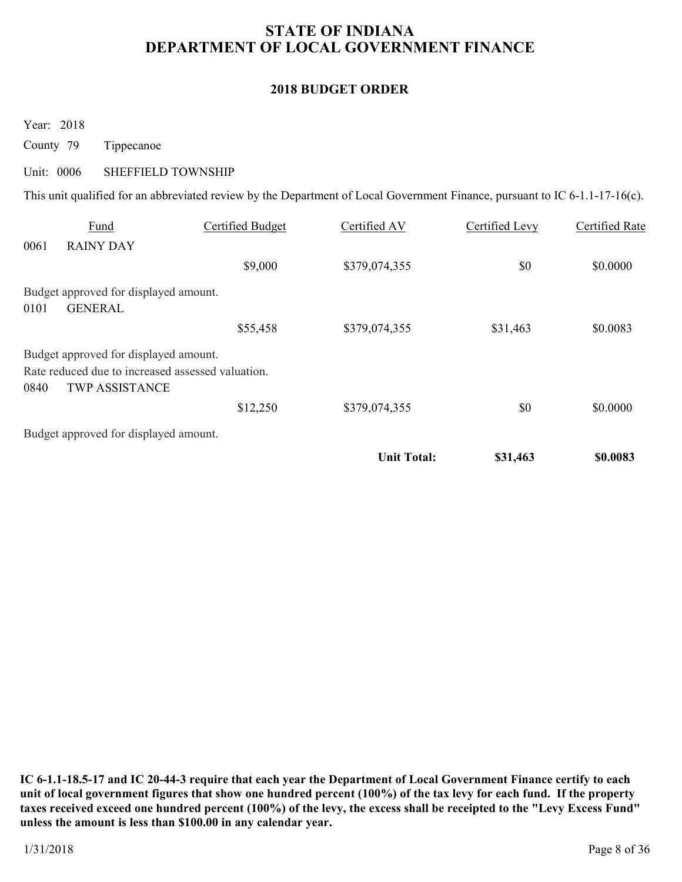### **2018 BUDGET ORDER**

Year: 2018

County 79 Tippecanoe

#### Unit: 0006 SHEFFIELD TOWNSHIP

This unit qualified for an abbreviated review by the Department of Local Government Finance, pursuant to IC 6-1.1-17-16(c).

|      |                                                                            |                  | <b>Unit Total:</b> | \$31,463       | \$0.0083       |
|------|----------------------------------------------------------------------------|------------------|--------------------|----------------|----------------|
|      | Budget approved for displayed amount.                                      |                  |                    |                |                |
|      |                                                                            | \$12,250         | \$379,074,355      | \$0            | \$0.0000       |
| 0840 | Rate reduced due to increased assessed valuation.<br><b>TWP ASSISTANCE</b> |                  |                    |                |                |
|      | Budget approved for displayed amount.                                      |                  |                    |                |                |
|      |                                                                            | \$55,458         | \$379,074,355      | \$31,463       | \$0.0083       |
| 0101 | <b>GENERAL</b>                                                             |                  |                    |                |                |
|      | Budget approved for displayed amount.                                      |                  |                    |                |                |
|      |                                                                            | \$9,000          | \$379,074,355      | \$0            | \$0.0000       |
| 0061 | <b>RAINY DAY</b>                                                           |                  |                    |                |                |
|      | Fund                                                                       | Certified Budget | Certified AV       | Certified Levy | Certified Rate |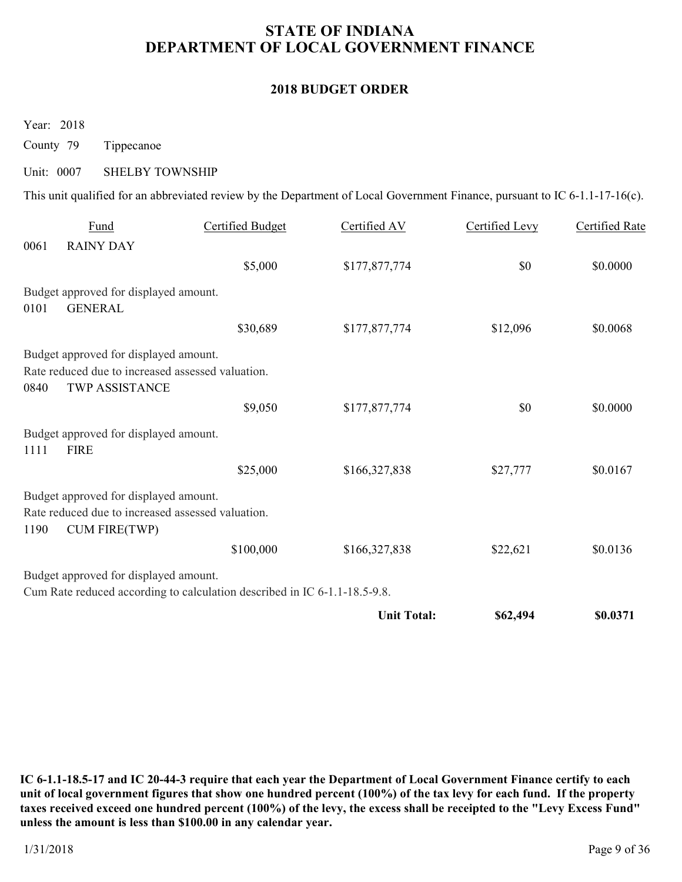### **2018 BUDGET ORDER**

Year: 2018

County 79 Tippecanoe

#### Unit: 0007 SHELBY TOWNSHIP

This unit qualified for an abbreviated review by the Department of Local Government Finance, pursuant to IC 6-1.1-17-16(c).

|      | Fund                                                                                       | <b>Certified Budget</b>                                                   | Certified AV       | Certified Levy | <b>Certified Rate</b> |
|------|--------------------------------------------------------------------------------------------|---------------------------------------------------------------------------|--------------------|----------------|-----------------------|
| 0061 | <b>RAINY DAY</b>                                                                           |                                                                           |                    |                |                       |
|      |                                                                                            | \$5,000                                                                   | \$177,877,774      | \$0            | \$0.0000              |
|      | Budget approved for displayed amount.                                                      |                                                                           |                    |                |                       |
| 0101 | <b>GENERAL</b>                                                                             |                                                                           |                    |                |                       |
|      |                                                                                            | \$30,689                                                                  | \$177,877,774      | \$12,096       | \$0.0068              |
|      | Budget approved for displayed amount.                                                      |                                                                           |                    |                |                       |
| 0840 | Rate reduced due to increased assessed valuation.<br><b>TWP ASSISTANCE</b>                 |                                                                           |                    |                |                       |
|      |                                                                                            | \$9,050                                                                   | \$177,877,774      | \$0            | \$0.0000              |
| 1111 | Budget approved for displayed amount.<br><b>FIRE</b>                                       |                                                                           |                    |                |                       |
|      |                                                                                            | \$25,000                                                                  | \$166,327,838      | \$27,777       | \$0.0167              |
|      | Budget approved for displayed amount.<br>Rate reduced due to increased assessed valuation. |                                                                           |                    |                |                       |
| 1190 | CUM FIRE(TWP)                                                                              |                                                                           |                    |                |                       |
|      |                                                                                            | \$100,000                                                                 | \$166,327,838      | \$22,621       | \$0.0136              |
|      | Budget approved for displayed amount.                                                      |                                                                           |                    |                |                       |
|      |                                                                                            | Cum Rate reduced according to calculation described in IC 6-1.1-18.5-9.8. |                    |                |                       |
|      |                                                                                            |                                                                           | <b>Unit Total:</b> | \$62,494       | \$0.0371              |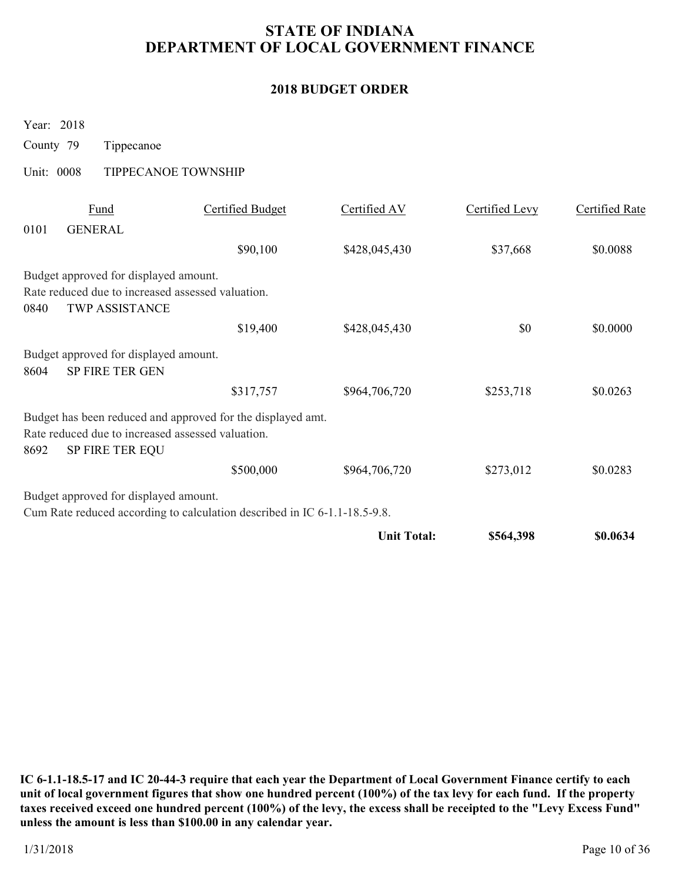### **2018 BUDGET ORDER**

Year: 2018

County 79 Tippecanoe

Unit: 0008 TIPPECANOE TOWNSHIP

|      | Fund                                              | <b>Certified Budget</b>                                                   | Certified AV       | Certified Levy | Certified Rate |
|------|---------------------------------------------------|---------------------------------------------------------------------------|--------------------|----------------|----------------|
| 0101 | <b>GENERAL</b>                                    |                                                                           |                    |                |                |
|      |                                                   | \$90,100                                                                  | \$428,045,430      | \$37,668       | \$0.0088       |
|      | Budget approved for displayed amount.             |                                                                           |                    |                |                |
|      | Rate reduced due to increased assessed valuation. |                                                                           |                    |                |                |
| 0840 | <b>TWP ASSISTANCE</b>                             |                                                                           |                    |                |                |
|      |                                                   | \$19,400                                                                  | \$428,045,430      | \$0            | \$0.0000       |
|      | Budget approved for displayed amount.             |                                                                           |                    |                |                |
| 8604 | <b>SP FIRE TER GEN</b>                            |                                                                           |                    |                |                |
|      |                                                   | \$317,757                                                                 | \$964,706,720      | \$253,718      | \$0.0263       |
|      |                                                   | Budget has been reduced and approved for the displayed amt.               |                    |                |                |
|      | Rate reduced due to increased assessed valuation. |                                                                           |                    |                |                |
| 8692 | <b>SP FIRE TER EQU</b>                            |                                                                           |                    |                |                |
|      |                                                   | \$500,000                                                                 | \$964,706,720      | \$273,012      | \$0.0283       |
|      | Budget approved for displayed amount.             |                                                                           |                    |                |                |
|      |                                                   | Cum Rate reduced according to calculation described in IC 6-1.1-18.5-9.8. |                    |                |                |
|      |                                                   |                                                                           | <b>Unit Total:</b> | \$564,398      | \$0.0634       |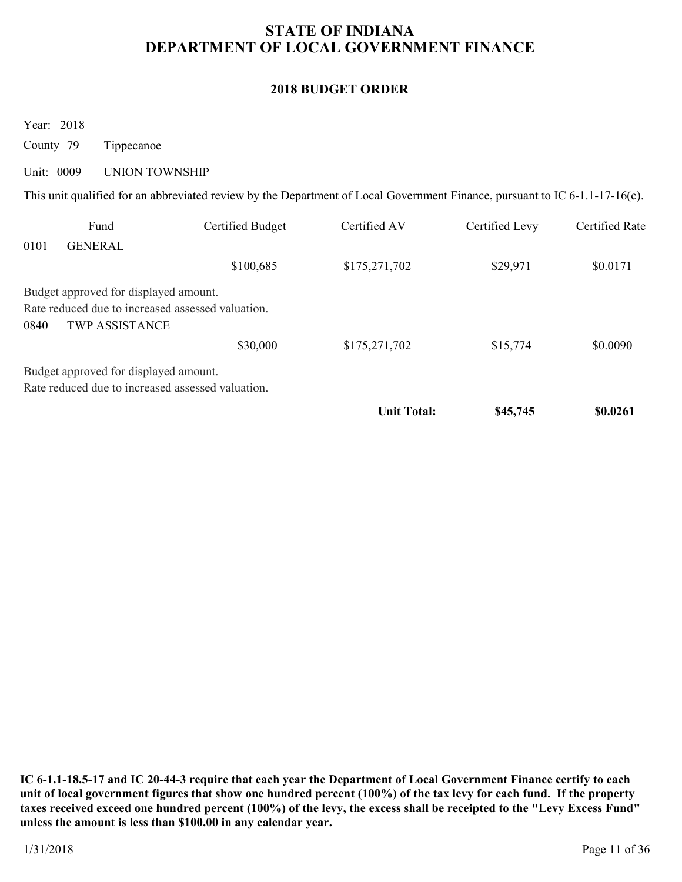### **2018 BUDGET ORDER**

Year: 2018

County 79 Tippecanoe

#### Unit: 0009 UNION TOWNSHIP

This unit qualified for an abbreviated review by the Department of Local Government Finance, pursuant to IC 6-1.1-17-16(c).

| 0101 | Fund<br><b>GENERAL</b>                | Certified Budget                                  | Certified AV       | Certified Levy | Certified Rate |
|------|---------------------------------------|---------------------------------------------------|--------------------|----------------|----------------|
|      |                                       |                                                   |                    |                |                |
|      |                                       | \$100,685                                         | \$175,271,702      | \$29,971       | \$0.0171       |
|      | Budget approved for displayed amount. |                                                   |                    |                |                |
|      |                                       | Rate reduced due to increased assessed valuation. |                    |                |                |
| 0840 | <b>TWP ASSISTANCE</b>                 |                                                   |                    |                |                |
|      |                                       | \$30,000                                          | \$175,271,702      | \$15,774       | \$0.0090       |
|      | Budget approved for displayed amount. |                                                   |                    |                |                |
|      |                                       | Rate reduced due to increased assessed valuation. |                    |                |                |
|      |                                       |                                                   | <b>Unit Total:</b> | \$45,745       | \$0.0261       |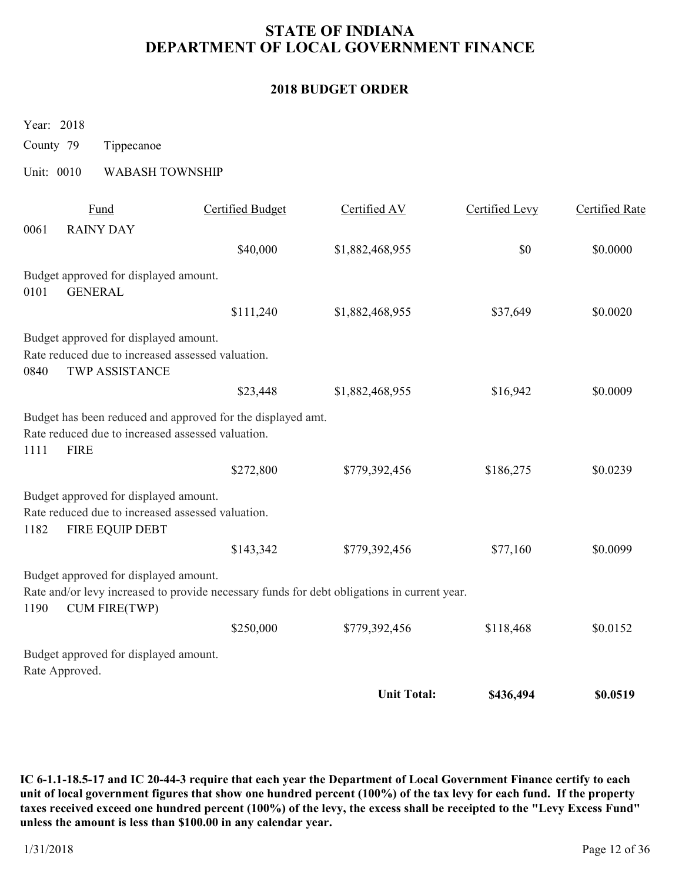### **2018 BUDGET ORDER**

Year: 2018

County 79 Tippecanoe

### Unit: 0010 WABASH TOWNSHIP

|      | Fund                                              | Certified Budget                                                                            | Certified AV       | Certified Levy | Certified Rate |
|------|---------------------------------------------------|---------------------------------------------------------------------------------------------|--------------------|----------------|----------------|
| 0061 | <b>RAINY DAY</b>                                  |                                                                                             |                    |                |                |
|      |                                                   | \$40,000                                                                                    | \$1,882,468,955    | \$0            | \$0.0000       |
|      | Budget approved for displayed amount.             |                                                                                             |                    |                |                |
| 0101 | <b>GENERAL</b>                                    |                                                                                             |                    |                |                |
|      |                                                   | \$111,240                                                                                   | \$1,882,468,955    | \$37,649       | \$0.0020       |
|      | Budget approved for displayed amount.             |                                                                                             |                    |                |                |
|      | Rate reduced due to increased assessed valuation. |                                                                                             |                    |                |                |
| 0840 | TWP ASSISTANCE                                    |                                                                                             |                    |                |                |
|      |                                                   | \$23,448                                                                                    | \$1,882,468,955    | \$16,942       | \$0.0009       |
|      |                                                   | Budget has been reduced and approved for the displayed amt.                                 |                    |                |                |
|      | Rate reduced due to increased assessed valuation. |                                                                                             |                    |                |                |
| 1111 | <b>FIRE</b>                                       |                                                                                             |                    |                |                |
|      |                                                   | \$272,800                                                                                   | \$779,392,456      | \$186,275      | \$0.0239       |
|      | Budget approved for displayed amount.             |                                                                                             |                    |                |                |
|      | Rate reduced due to increased assessed valuation. |                                                                                             |                    |                |                |
| 1182 | FIRE EQUIP DEBT                                   |                                                                                             |                    |                |                |
|      |                                                   | \$143,342                                                                                   | \$779,392,456      | \$77,160       | \$0.0099       |
|      | Budget approved for displayed amount.             |                                                                                             |                    |                |                |
| 1190 | <b>CUM FIRE(TWP)</b>                              | Rate and/or levy increased to provide necessary funds for debt obligations in current year. |                    |                |                |
|      |                                                   | \$250,000                                                                                   | \$779,392,456      | \$118,468      | \$0.0152       |
|      | Budget approved for displayed amount.             |                                                                                             |                    |                |                |
|      | Rate Approved.                                    |                                                                                             |                    |                |                |
|      |                                                   |                                                                                             | <b>Unit Total:</b> | \$436,494      | \$0.0519       |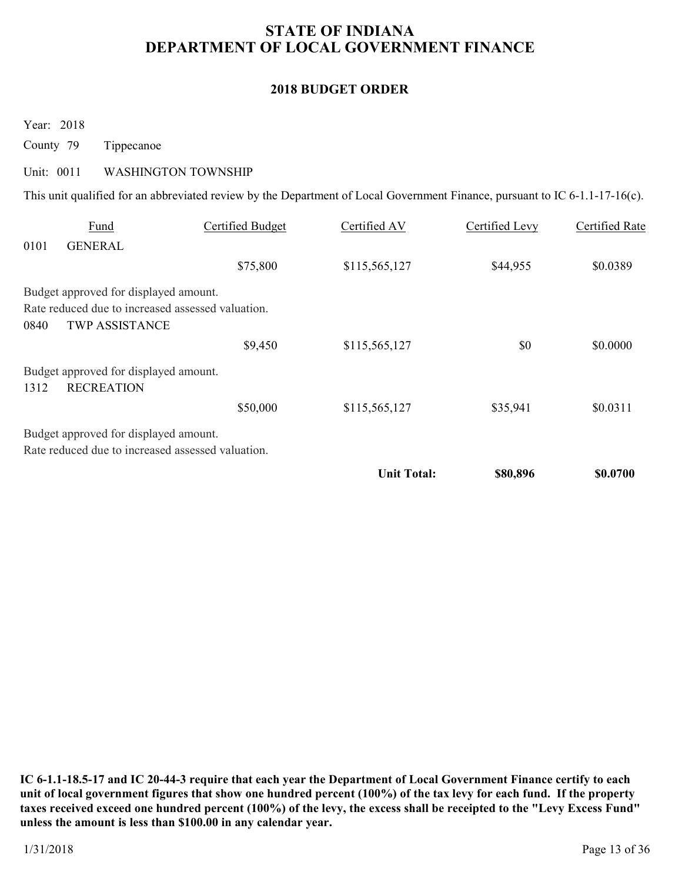### **2018 BUDGET ORDER**

Year: 2018

County 79 Tippecanoe

#### Unit: 0011 WASHINGTON TOWNSHIP

This unit qualified for an abbreviated review by the Department of Local Government Finance, pursuant to IC 6-1.1-17-16(c).

|      | Fund                                                       | Certified Budget | Certified AV       | Certified Levy | Certified Rate |
|------|------------------------------------------------------------|------------------|--------------------|----------------|----------------|
| 0101 | <b>GENERAL</b>                                             |                  |                    |                |                |
|      |                                                            | \$75,800         | \$115,565,127      | \$44,955       | \$0.0389       |
|      | Budget approved for displayed amount.                      |                  |                    |                |                |
|      | Rate reduced due to increased assessed valuation.          |                  |                    |                |                |
| 0840 | <b>TWP ASSISTANCE</b>                                      |                  |                    |                |                |
|      |                                                            | \$9,450          | \$115,565,127      | \$0            | \$0.0000       |
| 1312 | Budget approved for displayed amount.<br><b>RECREATION</b> |                  |                    |                |                |
|      |                                                            | \$50,000         | \$115,565,127      | \$35,941       | \$0.0311       |
|      | Budget approved for displayed amount.                      |                  |                    |                |                |
|      | Rate reduced due to increased assessed valuation.          |                  |                    |                |                |
|      |                                                            |                  | <b>Unit Total:</b> | \$80,896       | \$0.0700       |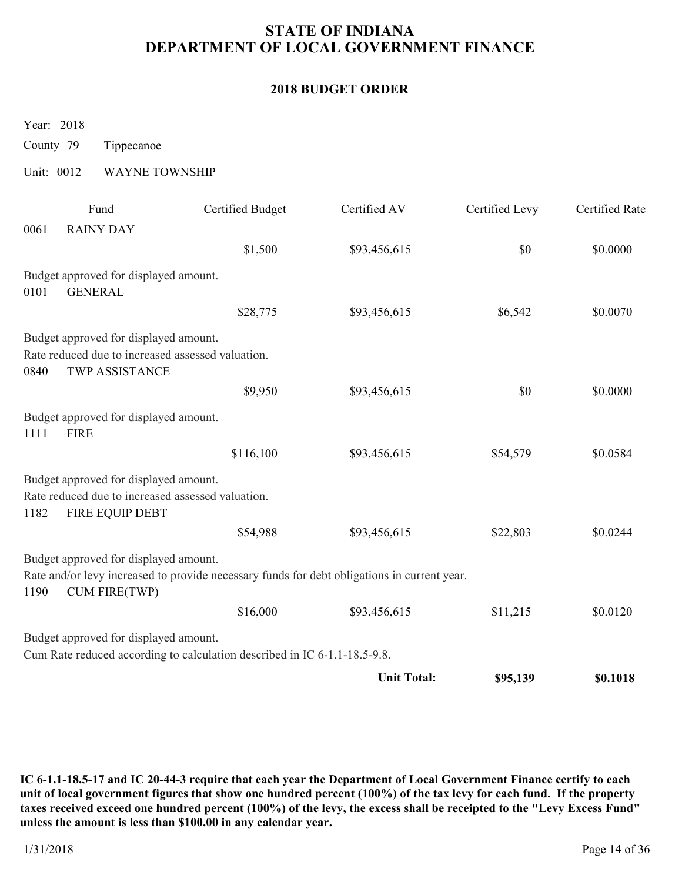### **2018 BUDGET ORDER**

Year: 2018

County 79 Tippecanoe

### Unit: 0012 WAYNE TOWNSHIP

|      | Fund                                                                       | <b>Certified Budget</b>                                                                     | Certified AV       | Certified Levy | <b>Certified Rate</b> |
|------|----------------------------------------------------------------------------|---------------------------------------------------------------------------------------------|--------------------|----------------|-----------------------|
| 0061 | <b>RAINY DAY</b>                                                           |                                                                                             |                    |                |                       |
|      |                                                                            | \$1,500                                                                                     | \$93,456,615       | \$0            | \$0.0000              |
| 0101 | Budget approved for displayed amount.<br><b>GENERAL</b>                    |                                                                                             |                    |                |                       |
|      |                                                                            | \$28,775                                                                                    | \$93,456,615       | \$6,542        | \$0.0070              |
|      | Budget approved for displayed amount.                                      |                                                                                             |                    |                |                       |
| 0840 | Rate reduced due to increased assessed valuation.<br><b>TWP ASSISTANCE</b> |                                                                                             |                    |                |                       |
|      |                                                                            | \$9,950                                                                                     | \$93,456,615       | \$0            | \$0.0000              |
| 1111 | Budget approved for displayed amount.<br><b>FIRE</b>                       |                                                                                             |                    |                |                       |
|      |                                                                            | \$116,100                                                                                   | \$93,456,615       | \$54,579       | \$0.0584              |
|      | Budget approved for displayed amount.                                      |                                                                                             |                    |                |                       |
| 1182 | Rate reduced due to increased assessed valuation.<br>FIRE EQUIP DEBT       |                                                                                             |                    |                |                       |
|      |                                                                            | \$54,988                                                                                    | \$93,456,615       | \$22,803       | \$0.0244              |
| 1190 | Budget approved for displayed amount.<br><b>CUM FIRE(TWP)</b>              | Rate and/or levy increased to provide necessary funds for debt obligations in current year. |                    |                |                       |
|      |                                                                            | \$16,000                                                                                    | \$93,456,615       | \$11,215       | \$0.0120              |
|      | Budget approved for displayed amount.                                      |                                                                                             |                    |                |                       |
|      |                                                                            | Cum Rate reduced according to calculation described in IC 6-1.1-18.5-9.8.                   |                    |                |                       |
|      |                                                                            |                                                                                             | <b>Unit Total:</b> | \$95,139       | \$0.1018              |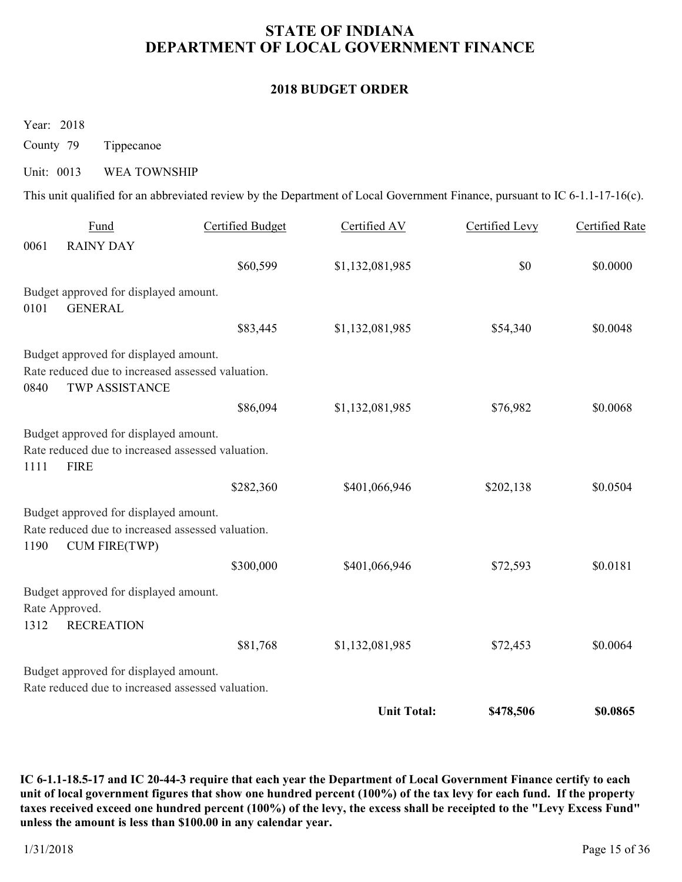### **2018 BUDGET ORDER**

Year: 2018

County 79 Tippecanoe

#### Unit: 0013 WEA TOWNSHIP

This unit qualified for an abbreviated review by the Department of Local Government Finance, pursuant to IC 6-1.1-17-16(c).

|      | Fund                                              | Certified Budget | Certified AV       | Certified Levy | Certified Rate |
|------|---------------------------------------------------|------------------|--------------------|----------------|----------------|
| 0061 | <b>RAINY DAY</b>                                  |                  |                    |                |                |
|      |                                                   | \$60,599         | \$1,132,081,985    | \$0            | \$0.0000       |
|      | Budget approved for displayed amount.             |                  |                    |                |                |
| 0101 | <b>GENERAL</b>                                    |                  |                    |                |                |
|      |                                                   | \$83,445         | \$1,132,081,985    | \$54,340       | \$0.0048       |
|      | Budget approved for displayed amount.             |                  |                    |                |                |
|      | Rate reduced due to increased assessed valuation. |                  |                    |                |                |
| 0840 | <b>TWP ASSISTANCE</b>                             |                  |                    |                |                |
|      |                                                   | \$86,094         | \$1,132,081,985    | \$76,982       | \$0.0068       |
|      | Budget approved for displayed amount.             |                  |                    |                |                |
|      | Rate reduced due to increased assessed valuation. |                  |                    |                |                |
| 1111 | <b>FIRE</b>                                       |                  |                    |                |                |
|      |                                                   | \$282,360        | \$401,066,946      | \$202,138      | \$0.0504       |
|      | Budget approved for displayed amount.             |                  |                    |                |                |
|      | Rate reduced due to increased assessed valuation. |                  |                    |                |                |
| 1190 | <b>CUM FIRE(TWP)</b>                              |                  |                    |                |                |
|      |                                                   | \$300,000        | \$401,066,946      | \$72,593       | \$0.0181       |
|      | Budget approved for displayed amount.             |                  |                    |                |                |
|      | Rate Approved.                                    |                  |                    |                |                |
| 1312 | <b>RECREATION</b>                                 |                  |                    |                |                |
|      |                                                   | \$81,768         | \$1,132,081,985    | \$72,453       | \$0.0064       |
|      | Budget approved for displayed amount.             |                  |                    |                |                |
|      | Rate reduced due to increased assessed valuation. |                  |                    |                |                |
|      |                                                   |                  | <b>Unit Total:</b> | \$478,506      | \$0.0865       |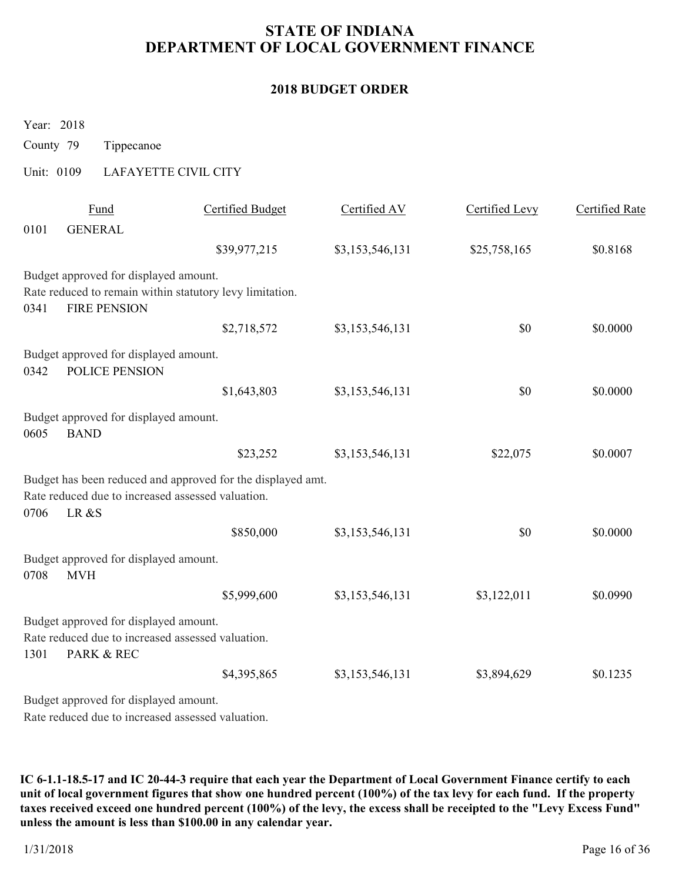### **2018 BUDGET ORDER**

Year: 2018

County 79 Tippecanoe

# Unit: 0109 LAFAYETTE CIVIL CITY

|      | Fund                                              | <b>Certified Budget</b>                                     | Certified AV    | Certified Levy | <b>Certified Rate</b> |
|------|---------------------------------------------------|-------------------------------------------------------------|-----------------|----------------|-----------------------|
| 0101 | <b>GENERAL</b>                                    |                                                             |                 |                |                       |
|      |                                                   | \$39,977,215                                                | \$3,153,546,131 | \$25,758,165   | \$0.8168              |
|      | Budget approved for displayed amount.             |                                                             |                 |                |                       |
|      |                                                   | Rate reduced to remain within statutory levy limitation.    |                 |                |                       |
| 0341 | <b>FIRE PENSION</b>                               |                                                             |                 |                |                       |
|      |                                                   | \$2,718,572                                                 | \$3,153,546,131 | \$0            | \$0.0000              |
|      | Budget approved for displayed amount.             |                                                             |                 |                |                       |
| 0342 | POLICE PENSION                                    |                                                             |                 |                |                       |
|      |                                                   | \$1,643,803                                                 | \$3,153,546,131 | \$0            | \$0.0000              |
|      | Budget approved for displayed amount.             |                                                             |                 |                |                       |
| 0605 | <b>BAND</b>                                       |                                                             |                 |                |                       |
|      |                                                   | \$23,252                                                    | \$3,153,546,131 | \$22,075       | \$0.0007              |
|      |                                                   | Budget has been reduced and approved for the displayed amt. |                 |                |                       |
|      | Rate reduced due to increased assessed valuation. |                                                             |                 |                |                       |
| 0706 | LR&S                                              |                                                             |                 |                |                       |
|      |                                                   | \$850,000                                                   | \$3,153,546,131 | \$0            | \$0.0000              |
|      | Budget approved for displayed amount.             |                                                             |                 |                |                       |
| 0708 | <b>MVH</b>                                        |                                                             |                 |                |                       |
|      |                                                   | \$5,999,600                                                 | \$3,153,546,131 | \$3,122,011    | \$0.0990              |
|      | Budget approved for displayed amount.             |                                                             |                 |                |                       |
|      | Rate reduced due to increased assessed valuation. |                                                             |                 |                |                       |
| 1301 | PARK & REC                                        |                                                             |                 |                |                       |
|      |                                                   | \$4,395,865                                                 | \$3,153,546,131 | \$3,894,629    | \$0.1235              |
|      | Budget approved for displayed amount.             |                                                             |                 |                |                       |
|      | Rate reduced due to increased assessed valuation. |                                                             |                 |                |                       |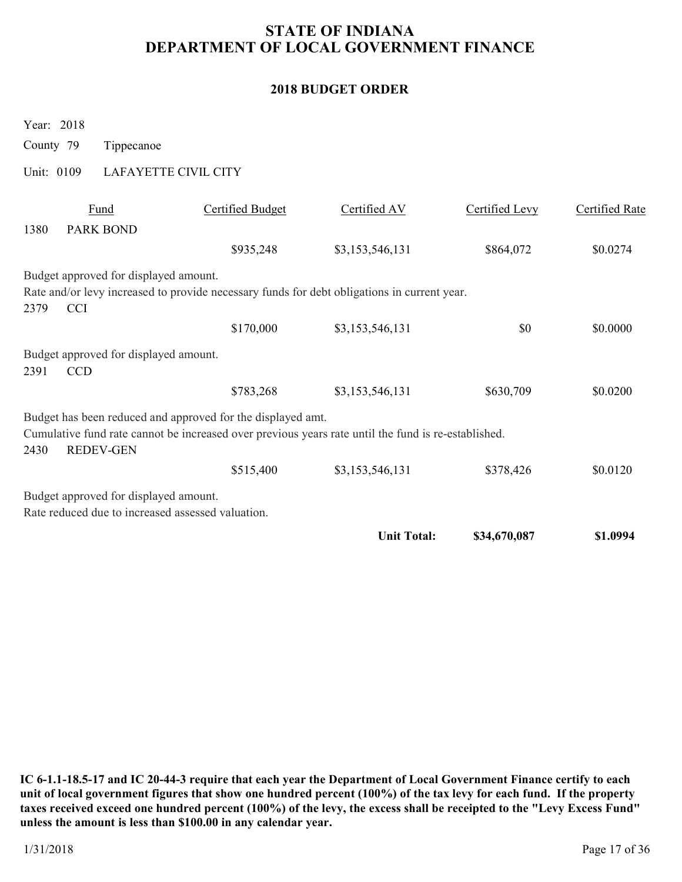### **2018 BUDGET ORDER**

|           | Year: 2018 |                                       |                                                             |                                                                                                     |                |                |
|-----------|------------|---------------------------------------|-------------------------------------------------------------|-----------------------------------------------------------------------------------------------------|----------------|----------------|
| County 79 |            | Tippecanoe                            |                                                             |                                                                                                     |                |                |
|           | Unit: 0109 |                                       | LAFAYETTE CIVIL CITY                                        |                                                                                                     |                |                |
|           |            | Fund                                  | <b>Certified Budget</b>                                     | Certified AV                                                                                        | Certified Levy | Certified Rate |
| 1380      |            | <b>PARK BOND</b>                      |                                                             |                                                                                                     |                |                |
|           |            |                                       | \$935,248                                                   | \$3,153,546,131                                                                                     | \$864,072      | \$0.0274       |
|           |            | Budget approved for displayed amount. |                                                             |                                                                                                     |                |                |
|           |            |                                       |                                                             | Rate and/or levy increased to provide necessary funds for debt obligations in current year.         |                |                |
| 2379      | <b>CCI</b> |                                       |                                                             |                                                                                                     |                |                |
|           |            |                                       | \$170,000                                                   | \$3,153,546,131                                                                                     | \$0            | \$0.0000       |
|           |            | Budget approved for displayed amount. |                                                             |                                                                                                     |                |                |
| 2391      | <b>CCD</b> |                                       |                                                             |                                                                                                     |                |                |
|           |            |                                       | \$783,268                                                   | \$3,153,546,131                                                                                     | \$630,709      | \$0.0200       |
|           |            |                                       | Budget has been reduced and approved for the displayed amt. |                                                                                                     |                |                |
|           |            |                                       |                                                             | Cumulative fund rate cannot be increased over previous years rate until the fund is re-established. |                |                |
| 2430      |            | <b>REDEV-GEN</b>                      |                                                             |                                                                                                     |                |                |
|           |            |                                       | \$515,400                                                   | \$3,153,546,131                                                                                     | \$378,426      | \$0.0120       |
|           |            | Budget approved for displayed amount. |                                                             |                                                                                                     |                |                |
|           |            |                                       | Rate reduced due to increased assessed valuation.           |                                                                                                     |                |                |
|           |            |                                       |                                                             | <b>Unit Total:</b>                                                                                  | \$34,670,087   | \$1.0994       |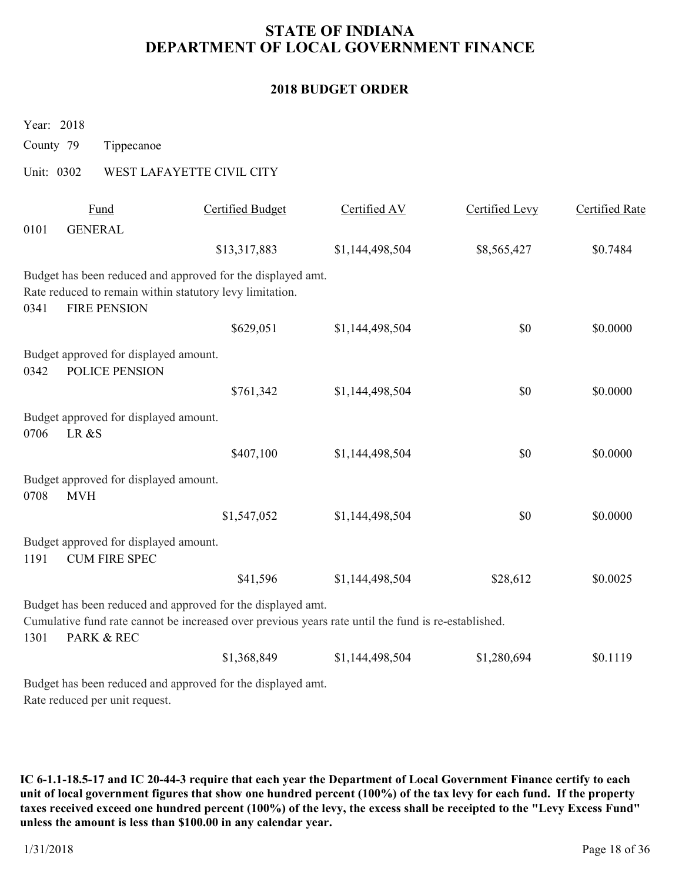### **2018 BUDGET ORDER**

| rear: $2018$ |                |                                                               |                                                                                                                                                                    |                 |                |                       |
|--------------|----------------|---------------------------------------------------------------|--------------------------------------------------------------------------------------------------------------------------------------------------------------------|-----------------|----------------|-----------------------|
| County 79    |                | Tippecanoe                                                    |                                                                                                                                                                    |                 |                |                       |
| Unit: 0302   |                |                                                               | WEST LAFAYETTE CIVIL CITY                                                                                                                                          |                 |                |                       |
| 0101         | <b>GENERAL</b> | Fund                                                          | <b>Certified Budget</b>                                                                                                                                            | Certified AV    | Certified Levy | <b>Certified Rate</b> |
|              |                |                                                               | \$13,317,883                                                                                                                                                       | \$1,144,498,504 | \$8,565,427    | \$0.7484              |
| 0341         |                | <b>FIRE PENSION</b>                                           | Budget has been reduced and approved for the displayed amt.<br>Rate reduced to remain within statutory levy limitation.                                            |                 |                |                       |
|              |                |                                                               | \$629,051                                                                                                                                                          | \$1,144,498,504 | \$0            | \$0.0000              |
| 0342         |                | Budget approved for displayed amount.<br>POLICE PENSION       |                                                                                                                                                                    |                 |                |                       |
|              |                |                                                               | \$761,342                                                                                                                                                          | \$1,144,498,504 | \$0            | \$0.0000              |
| 0706         | LR &S          | Budget approved for displayed amount.                         |                                                                                                                                                                    |                 |                |                       |
|              |                |                                                               | \$407,100                                                                                                                                                          | \$1,144,498,504 | \$0            | \$0.0000              |
| 0708         | <b>MVH</b>     | Budget approved for displayed amount.                         |                                                                                                                                                                    |                 |                |                       |
|              |                |                                                               | \$1,547,052                                                                                                                                                        | \$1,144,498,504 | \$0            | \$0.0000              |
| 1191         |                | Budget approved for displayed amount.<br><b>CUM FIRE SPEC</b> |                                                                                                                                                                    |                 |                |                       |
|              |                |                                                               | \$41,596                                                                                                                                                           | \$1,144,498,504 | \$28,612       | \$0.0025              |
| 1301         |                | <b>PARK &amp; REC</b>                                         | Budget has been reduced and approved for the displayed amt.<br>Cumulative fund rate cannot be increased over previous years rate until the fund is re-established. |                 |                |                       |
|              |                |                                                               | \$1,368,849                                                                                                                                                        | \$1,144,498,504 | \$1,280,694    | \$0.1119              |
|              |                | Rate reduced per unit request.                                | Budget has been reduced and approved for the displayed amt.                                                                                                        |                 |                |                       |

**IC 6-1.1-18.5-17 and IC 20-44-3 require that each year the Department of Local Government Finance certify to each unit of local government figures that show one hundred percent (100%) of the tax levy for each fund. If the property taxes received exceed one hundred percent (100%) of the levy, the excess shall be receipted to the "Levy Excess Fund" unless the amount is less than \$100.00 in any calendar year.**

 $Y_{\ell}$  2018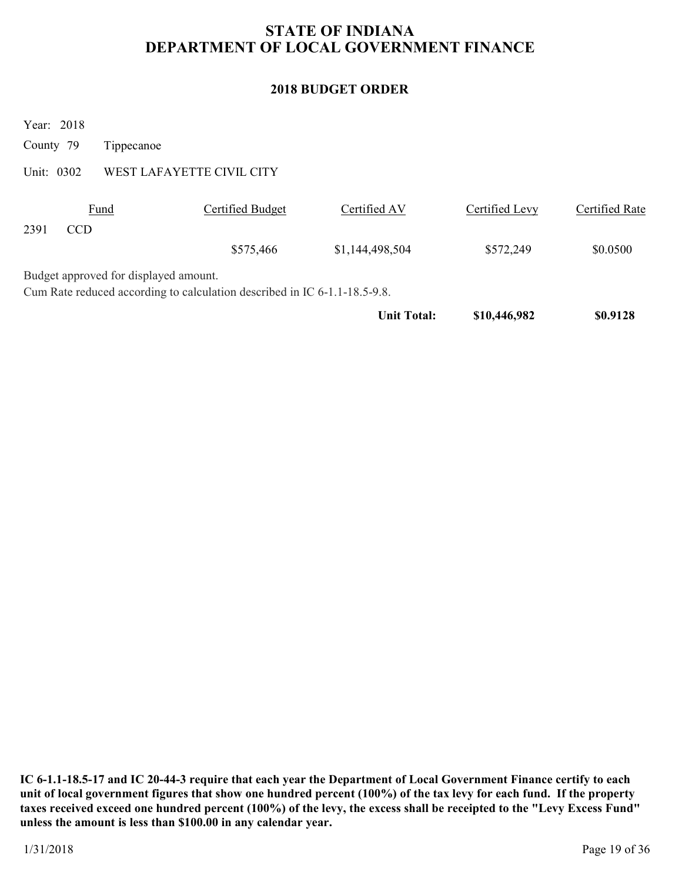### **2018 BUDGET ORDER**

|            |                                                                                                                    |                           | <b>Unit Total:</b> | \$10,446,982   | \$0.9128       |
|------------|--------------------------------------------------------------------------------------------------------------------|---------------------------|--------------------|----------------|----------------|
|            | Budget approved for displayed amount.<br>Cum Rate reduced according to calculation described in IC 6-1.1-18.5-9.8. |                           |                    |                |                |
|            |                                                                                                                    | \$575,466                 | \$1,144,498,504    | \$572,249      | \$0.0500       |
| 2391       | <b>CCD</b>                                                                                                         |                           |                    |                |                |
|            | Fund                                                                                                               | Certified Budget          | Certified AV       | Certified Levy | Certified Rate |
| Unit: 0302 |                                                                                                                    | WEST LAFAYETTE CIVIL CITY |                    |                |                |
| County 79  | Tippecanoe                                                                                                         |                           |                    |                |                |
|            | Year: 2018                                                                                                         |                           |                    |                |                |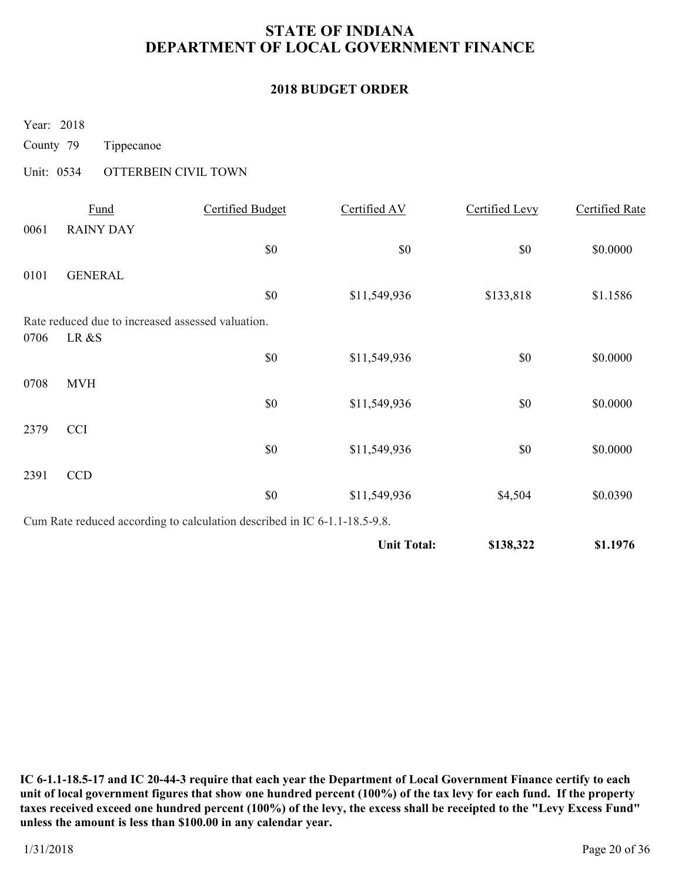### **2018 BUDGET ORDER**

Year: 2018

County 79 Tippecanoe

### Unit: 0534 OTTERBEIN CIVIL TOWN

|      | Fund             | Certified Budget                                                          | Certified AV       | Certified Levy | Certified Rate |
|------|------------------|---------------------------------------------------------------------------|--------------------|----------------|----------------|
| 0061 | <b>RAINY DAY</b> |                                                                           |                    |                |                |
|      |                  | \$0                                                                       | \$0                | \$0            | \$0.0000       |
| 0101 | <b>GENERAL</b>   |                                                                           |                    |                |                |
|      |                  | \$0                                                                       | \$11,549,936       | \$133,818      | \$1.1586       |
|      |                  | Rate reduced due to increased assessed valuation.                         |                    |                |                |
| 0706 | LR &S            |                                                                           |                    |                |                |
|      |                  | \$0                                                                       | \$11,549,936       | \$0            | \$0.0000       |
| 0708 | <b>MVH</b>       |                                                                           |                    |                |                |
|      |                  | $\$0$                                                                     | \$11,549,936       | \$0            | \$0.0000       |
| 2379 | <b>CCI</b>       |                                                                           |                    |                |                |
|      |                  | \$0                                                                       | \$11,549,936       | \$0            | \$0.0000       |
| 2391 | CCD              |                                                                           |                    |                |                |
|      |                  | \$0                                                                       | \$11,549,936       | \$4,504        | \$0.0390       |
|      |                  | Cum Rate reduced according to calculation described in IC 6-1.1-18.5-9.8. |                    |                |                |
|      |                  |                                                                           | <b>Unit Total:</b> | \$138,322      | \$1.1976       |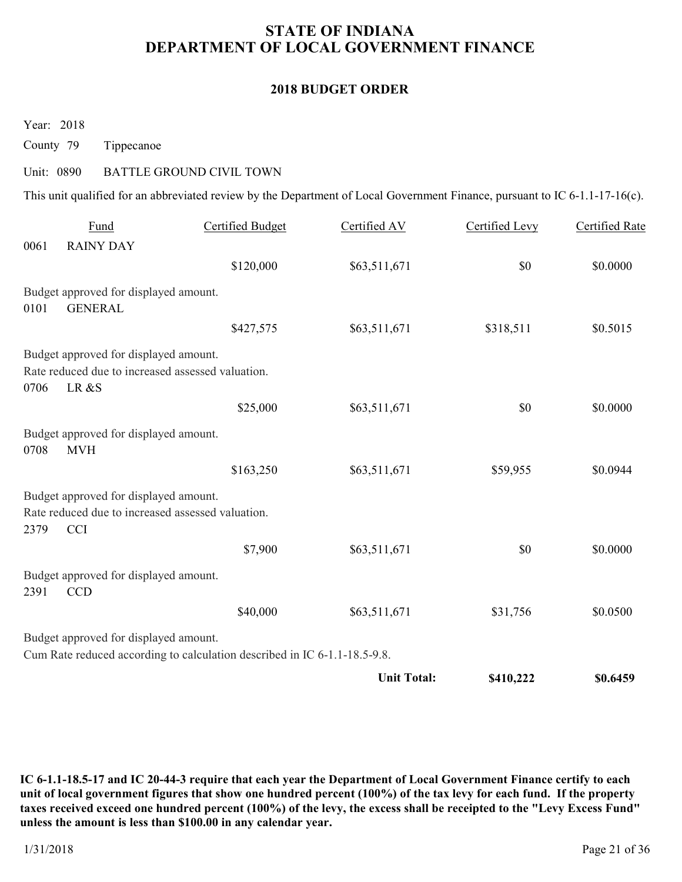#### **2018 BUDGET ORDER**

Year: 2018

County 79 Tippecanoe

#### Unit: 0890 BATTLE GROUND CIVIL TOWN

This unit qualified for an abbreviated review by the Department of Local Government Finance, pursuant to IC 6-1.1-17-16(c).

|      | Fund                                                                                       | <b>Certified Budget</b>                                                   | Certified AV       | Certified Levy | <b>Certified Rate</b> |
|------|--------------------------------------------------------------------------------------------|---------------------------------------------------------------------------|--------------------|----------------|-----------------------|
| 0061 | <b>RAINY DAY</b>                                                                           |                                                                           |                    |                |                       |
|      |                                                                                            | \$120,000                                                                 | \$63,511,671       | \$0            | \$0.0000              |
|      | Budget approved for displayed amount.                                                      |                                                                           |                    |                |                       |
| 0101 | <b>GENERAL</b>                                                                             |                                                                           |                    |                |                       |
|      |                                                                                            | \$427,575                                                                 | \$63,511,671       | \$318,511      | \$0.5015              |
|      | Budget approved for displayed amount.                                                      |                                                                           |                    |                |                       |
|      | Rate reduced due to increased assessed valuation.                                          |                                                                           |                    |                |                       |
| 0706 | LR &S                                                                                      |                                                                           |                    |                |                       |
|      |                                                                                            | \$25,000                                                                  | \$63,511,671       | \$0            | \$0.0000              |
| 0708 | Budget approved for displayed amount.<br><b>MVH</b>                                        |                                                                           |                    |                |                       |
|      |                                                                                            | \$163,250                                                                 | \$63,511,671       | \$59,955       | \$0.0944              |
|      | Budget approved for displayed amount.<br>Rate reduced due to increased assessed valuation. |                                                                           |                    |                |                       |
| 2379 | <b>CCI</b>                                                                                 |                                                                           |                    |                |                       |
|      |                                                                                            | \$7,900                                                                   | \$63,511,671       | \$0            | \$0.0000              |
| 2391 | Budget approved for displayed amount.<br><b>CCD</b>                                        |                                                                           |                    |                |                       |
|      |                                                                                            | \$40,000                                                                  | \$63,511,671       | \$31,756       | \$0.0500              |
|      | Budget approved for displayed amount.                                                      |                                                                           |                    |                |                       |
|      |                                                                                            | Cum Rate reduced according to calculation described in IC 6-1.1-18.5-9.8. |                    |                |                       |
|      |                                                                                            |                                                                           | <b>Unit Total:</b> | \$410,222      | \$0.6459              |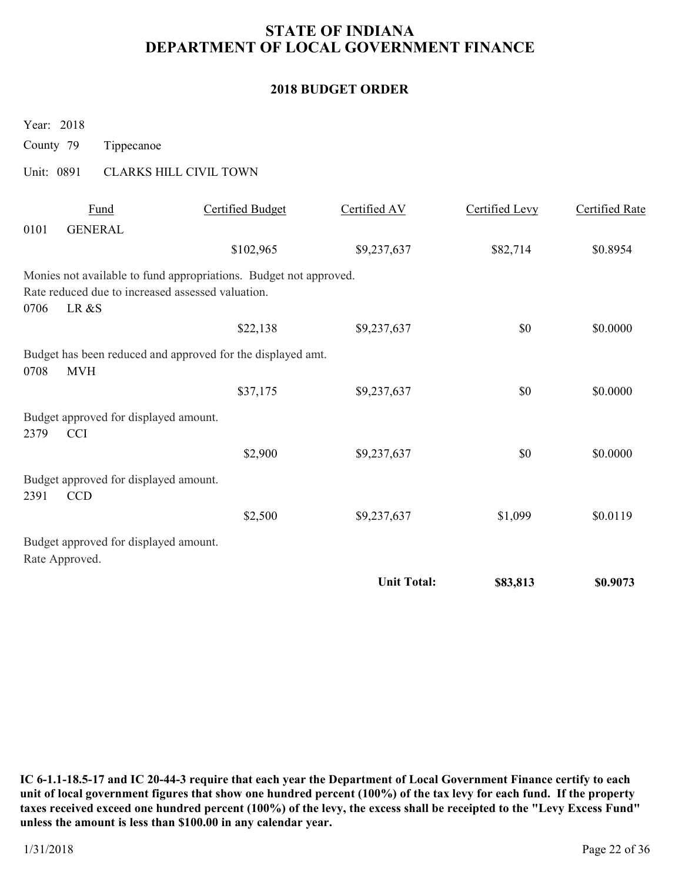### **2018 BUDGET ORDER**

| County 79  |                | Tippecanoe                            |                                                                                                                        |                    |                |                |
|------------|----------------|---------------------------------------|------------------------------------------------------------------------------------------------------------------------|--------------------|----------------|----------------|
| Unit: 0891 |                |                                       | <b>CLARKS HILL CIVIL TOWN</b>                                                                                          |                    |                |                |
|            |                | Fund                                  | <b>Certified Budget</b>                                                                                                | Certified AV       | Certified Levy | Certified Rate |
| 0101       |                | <b>GENERAL</b>                        |                                                                                                                        |                    |                |                |
|            |                |                                       | \$102,965                                                                                                              | \$9,237,637        | \$82,714       | \$0.8954       |
| 0706       | LR &S          |                                       | Monies not available to fund appropriations. Budget not approved.<br>Rate reduced due to increased assessed valuation. |                    |                |                |
|            |                |                                       | \$22,138                                                                                                               | \$9,237,637        | \$0            | \$0.0000       |
| 0708       | <b>MVH</b>     |                                       | Budget has been reduced and approved for the displayed amt.                                                            |                    |                |                |
|            |                |                                       | \$37,175                                                                                                               | \$9,237,637        | \$0            | \$0.0000       |
| 2379       | <b>CCI</b>     | Budget approved for displayed amount. |                                                                                                                        |                    |                |                |
|            |                |                                       | \$2,900                                                                                                                | \$9,237,637        | \$0            | \$0.0000       |
| 2391       | <b>CCD</b>     | Budget approved for displayed amount. |                                                                                                                        |                    |                |                |
|            |                |                                       | \$2,500                                                                                                                | \$9,237,637        | \$1,099        | \$0.0119       |
|            | Rate Approved. | Budget approved for displayed amount. |                                                                                                                        |                    |                |                |
|            |                |                                       |                                                                                                                        | <b>Unit Total:</b> | \$83,813       | \$0.9073       |

**IC 6-1.1-18.5-17 and IC 20-44-3 require that each year the Department of Local Government Finance certify to each unit of local government figures that show one hundred percent (100%) of the tax levy for each fund. If the property taxes received exceed one hundred percent (100%) of the levy, the excess shall be receipted to the "Levy Excess Fund" unless the amount is less than \$100.00 in any calendar year.**

Year: 2018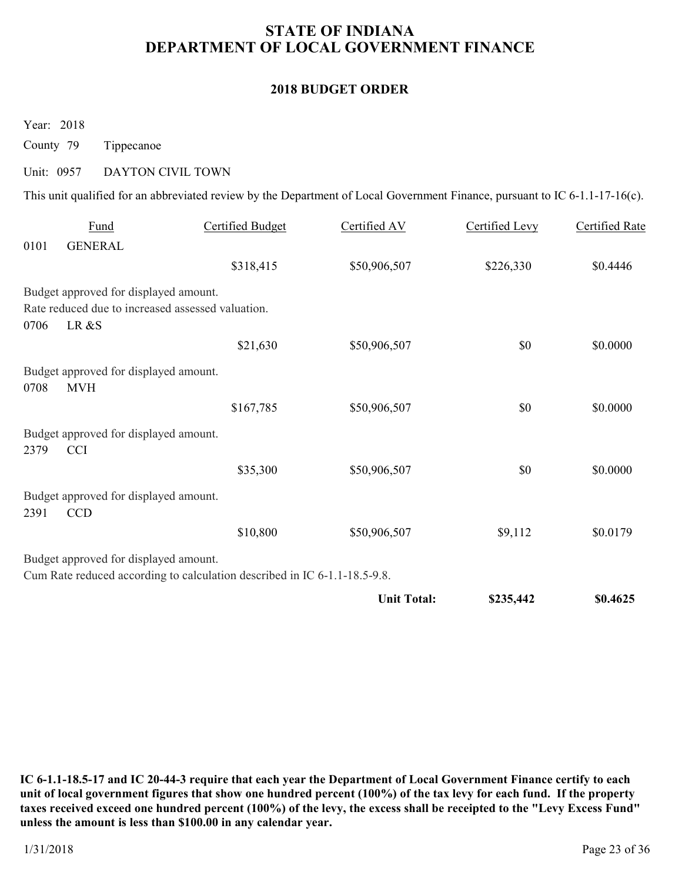### **2018 BUDGET ORDER**

Year: 2018

County 79 Tippecanoe

# Unit: 0957 DAYTON CIVIL TOWN

This unit qualified for an abbreviated review by the Department of Local Government Finance, pursuant to IC 6-1.1-17-16(c).

|      |                                                            |                                                                           | <b>Unit Total:</b> | \$235,442      | \$0.4625              |
|------|------------------------------------------------------------|---------------------------------------------------------------------------|--------------------|----------------|-----------------------|
|      | Budget approved for displayed amount.                      | Cum Rate reduced according to calculation described in IC 6-1.1-18.5-9.8. |                    |                |                       |
|      |                                                            | \$10,800                                                                  | \$50,906,507       | \$9,112        | \$0.0179              |
| 2391 | Budget approved for displayed amount.<br><b>CCD</b>        |                                                                           |                    |                |                       |
|      |                                                            | \$35,300                                                                  | \$50,906,507       | \$0            | \$0.0000              |
| 2379 | Budget approved for displayed amount.<br><b>CCI</b>        |                                                                           |                    |                |                       |
|      |                                                            | \$167,785                                                                 | \$50,906,507       | \$0            | \$0.0000              |
| 0708 | Budget approved for displayed amount.<br><b>MVH</b>        |                                                                           |                    |                |                       |
|      |                                                            | \$21,630                                                                  | \$50,906,507       | \$0            | \$0.0000              |
| 0706 | Rate reduced due to increased assessed valuation.<br>LR &S |                                                                           |                    |                |                       |
|      | Budget approved for displayed amount.                      |                                                                           |                    |                |                       |
|      |                                                            | \$318,415                                                                 | \$50,906,507       | \$226,330      | \$0.4446              |
| 0101 | <b>GENERAL</b>                                             |                                                                           |                    |                |                       |
|      | Fund                                                       | <b>Certified Budget</b>                                                   | Certified AV       | Certified Levy | <b>Certified Rate</b> |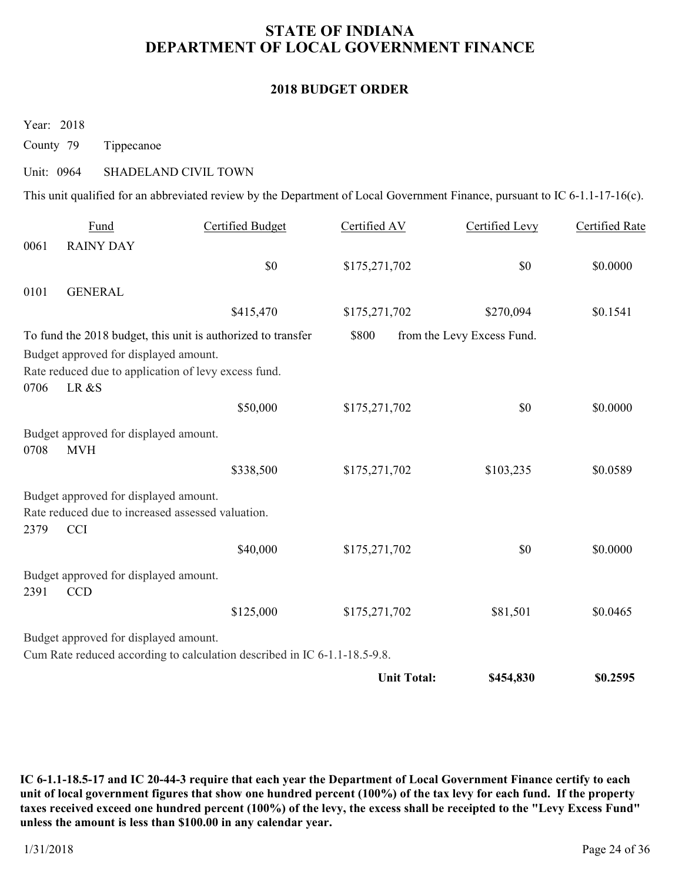#### **2018 BUDGET ORDER**

Year: 2018

County 79 Tippecanoe

#### Unit: 0964 SHADELAND CIVIL TOWN

This unit qualified for an abbreviated review by the Department of Local Government Finance, pursuant to IC 6-1.1-17-16(c).

|      | Fund                                                | <b>Certified Budget</b>                                                   | Certified AV       | Certified Levy             | <b>Certified Rate</b> |
|------|-----------------------------------------------------|---------------------------------------------------------------------------|--------------------|----------------------------|-----------------------|
| 0061 | <b>RAINY DAY</b>                                    |                                                                           |                    |                            |                       |
|      |                                                     | \$0                                                                       | \$175,271,702      | \$0                        | \$0.0000              |
| 0101 | <b>GENERAL</b>                                      |                                                                           |                    |                            |                       |
|      |                                                     | \$415,470                                                                 | \$175,271,702      | \$270,094                  | \$0.1541              |
|      |                                                     | To fund the 2018 budget, this unit is authorized to transfer              | \$800              | from the Levy Excess Fund. |                       |
|      | Budget approved for displayed amount.               | Rate reduced due to application of levy excess fund.                      |                    |                            |                       |
| 0706 | LR &S                                               | \$50,000                                                                  | \$175,271,702      | \$0                        | \$0.0000              |
|      | Budget approved for displayed amount.               |                                                                           |                    |                            |                       |
| 0708 | <b>MVH</b>                                          |                                                                           |                    |                            |                       |
|      |                                                     | \$338,500                                                                 | \$175,271,702      | \$103,235                  | \$0.0589              |
|      | Budget approved for displayed amount.               |                                                                           |                    |                            |                       |
|      | Rate reduced due to increased assessed valuation.   |                                                                           |                    |                            |                       |
| 2379 | <b>CCI</b>                                          |                                                                           |                    |                            |                       |
|      |                                                     | \$40,000                                                                  | \$175,271,702      | \$0                        | \$0.0000              |
| 2391 | Budget approved for displayed amount.<br><b>CCD</b> |                                                                           |                    |                            |                       |
|      |                                                     | \$125,000                                                                 | \$175,271,702      | \$81,501                   | \$0.0465              |
|      | Budget approved for displayed amount.               |                                                                           |                    |                            |                       |
|      |                                                     | Cum Rate reduced according to calculation described in IC 6-1.1-18.5-9.8. |                    |                            |                       |
|      |                                                     |                                                                           | <b>Unit Total:</b> | \$454,830                  | \$0.2595              |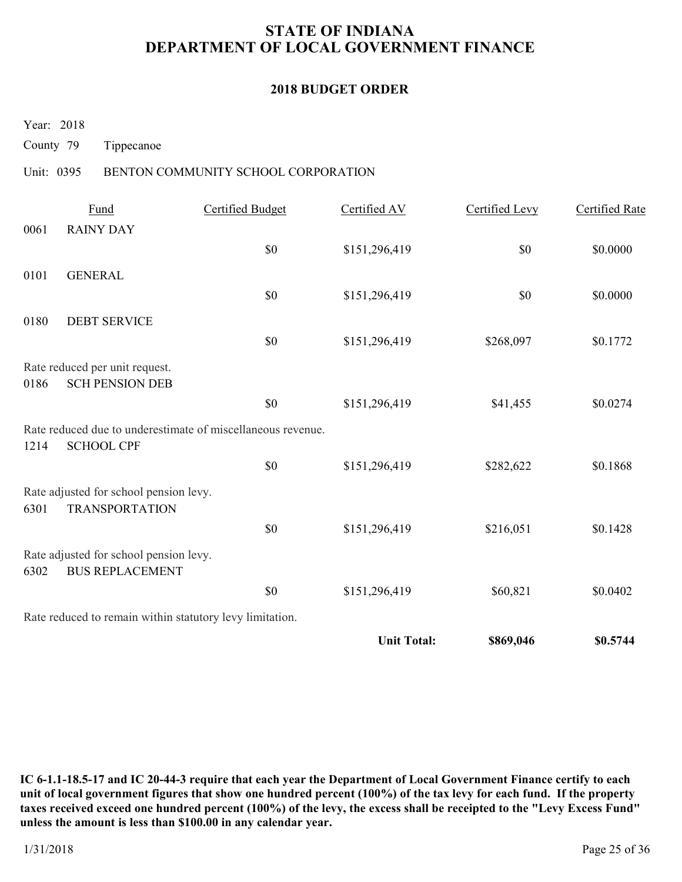### **2018 BUDGET ORDER**

Year: 2018

County 79 Tippecanoe

### Unit: 0395 BENTON COMMUNITY SCHOOL CORPORATION

|      | <b>Fund</b>                                                      | <b>Certified Budget</b>                                     | Certified AV       | Certified Levy | <b>Certified Rate</b> |
|------|------------------------------------------------------------------|-------------------------------------------------------------|--------------------|----------------|-----------------------|
| 0061 | <b>RAINY DAY</b>                                                 |                                                             |                    |                |                       |
|      |                                                                  | \$0                                                         | \$151,296,419      | \$0            | \$0.0000              |
| 0101 | <b>GENERAL</b>                                                   |                                                             |                    |                |                       |
|      |                                                                  | \$0                                                         | \$151,296,419      | \$0            | \$0.0000              |
| 0180 | <b>DEBT SERVICE</b>                                              |                                                             |                    |                |                       |
|      |                                                                  | \$0                                                         | \$151,296,419      | \$268,097      | \$0.1772              |
|      | Rate reduced per unit request.                                   |                                                             |                    |                |                       |
| 0186 | <b>SCH PENSION DEB</b>                                           |                                                             |                    |                |                       |
|      |                                                                  | \$0                                                         | \$151,296,419      | \$41,455       | \$0.0274              |
| 1214 | <b>SCHOOL CPF</b>                                                | Rate reduced due to underestimate of miscellaneous revenue. |                    |                |                       |
|      |                                                                  | \$0                                                         | \$151,296,419      | \$282,622      | \$0.1868              |
| 6301 | Rate adjusted for school pension levy.<br><b>TRANSPORTATION</b>  |                                                             |                    |                |                       |
|      |                                                                  | \$0                                                         | \$151,296,419      | \$216,051      | \$0.1428              |
| 6302 | Rate adjusted for school pension levy.<br><b>BUS REPLACEMENT</b> |                                                             |                    |                |                       |
|      |                                                                  | \$0                                                         | \$151,296,419      | \$60,821       | \$0.0402              |
|      | Rate reduced to remain within statutory levy limitation.         |                                                             |                    |                |                       |
|      |                                                                  |                                                             | <b>Unit Total:</b> | \$869,046      | \$0.5744              |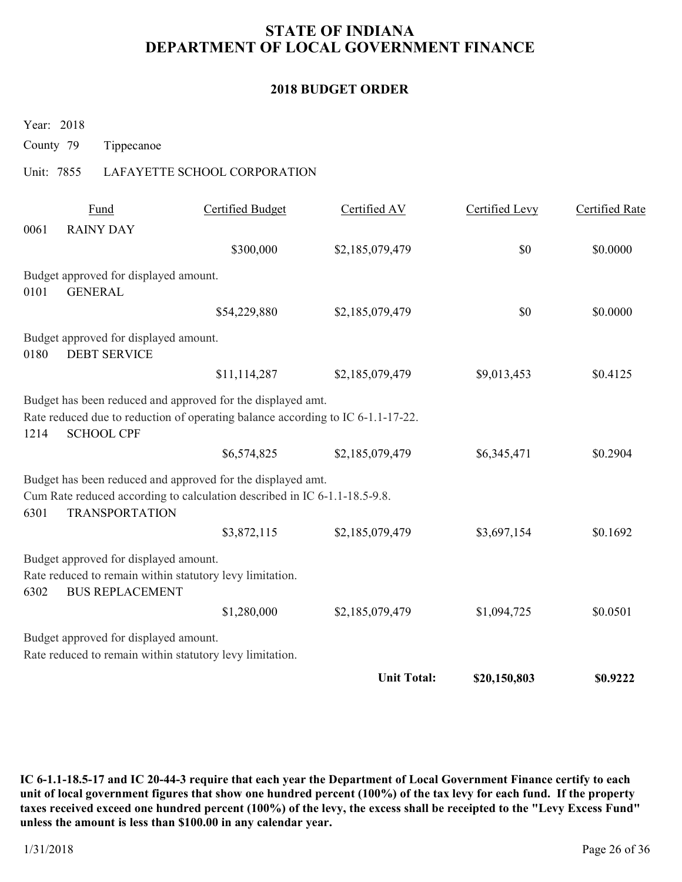### **2018 BUDGET ORDER**

Year: 2018

County 79 Tippecanoe

### Unit: 7855 LAFAYETTE SCHOOL CORPORATION

|      | Fund                                                            | <b>Certified Budget</b>                                                                                                                        | Certified AV       | Certified Levy | Certified Rate |
|------|-----------------------------------------------------------------|------------------------------------------------------------------------------------------------------------------------------------------------|--------------------|----------------|----------------|
| 0061 | <b>RAINY DAY</b>                                                |                                                                                                                                                |                    |                |                |
|      |                                                                 | \$300,000                                                                                                                                      | \$2,185,079,479    | \$0            | \$0.0000       |
| 0101 | Budget approved for displayed amount.<br><b>GENERAL</b>         |                                                                                                                                                |                    |                |                |
|      |                                                                 | \$54,229,880                                                                                                                                   | \$2,185,079,479    | \$0            | \$0.0000       |
| 0180 | Budget approved for displayed amount.<br><b>DEBT SERVICE</b>    |                                                                                                                                                |                    |                |                |
|      |                                                                 | \$11,114,287                                                                                                                                   | \$2,185,079,479    | \$9,013,453    | \$0.4125       |
| 1214 | <b>SCHOOL CPF</b>                                               | Budget has been reduced and approved for the displayed amt.<br>Rate reduced due to reduction of operating balance according to IC 6-1.1-17-22. |                    |                |                |
|      |                                                                 | \$6,574,825                                                                                                                                    | \$2,185,079,479    | \$6,345,471    | \$0.2904       |
| 6301 | <b>TRANSPORTATION</b>                                           | Budget has been reduced and approved for the displayed amt.<br>Cum Rate reduced according to calculation described in IC 6-1.1-18.5-9.8.       |                    |                |                |
|      |                                                                 | \$3,872,115                                                                                                                                    | \$2,185,079,479    | \$3,697,154    | \$0.1692       |
| 6302 | Budget approved for displayed amount.<br><b>BUS REPLACEMENT</b> | Rate reduced to remain within statutory levy limitation.                                                                                       |                    |                |                |
|      |                                                                 | \$1,280,000                                                                                                                                    | \$2,185,079,479    | \$1,094,725    | \$0.0501       |
|      | Budget approved for displayed amount.                           | Rate reduced to remain within statutory levy limitation.                                                                                       |                    |                |                |
|      |                                                                 |                                                                                                                                                | <b>Unit Total:</b> | \$20,150,803   | \$0.9222       |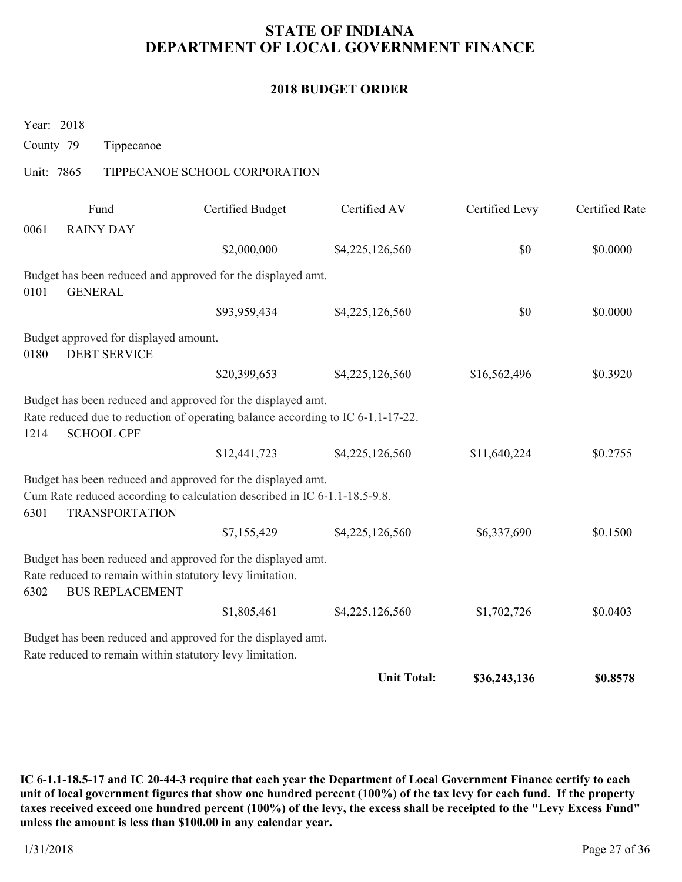### **2018 BUDGET ORDER**

Year: 2018

County 79 Tippecanoe

### Unit: 7865 TIPPECANOE SCHOOL CORPORATION

|      | Fund                                                         | Certified Budget                                                                                                                               | Certified AV       | Certified Levy | Certified Rate |
|------|--------------------------------------------------------------|------------------------------------------------------------------------------------------------------------------------------------------------|--------------------|----------------|----------------|
| 0061 | <b>RAINY DAY</b>                                             |                                                                                                                                                |                    |                |                |
|      |                                                              | \$2,000,000                                                                                                                                    | \$4,225,126,560    | \$0            | \$0.0000       |
| 0101 | <b>GENERAL</b>                                               | Budget has been reduced and approved for the displayed amt.                                                                                    |                    |                |                |
|      |                                                              | \$93,959,434                                                                                                                                   | \$4,225,126,560    | \$0            | \$0.0000       |
| 0180 | Budget approved for displayed amount.<br><b>DEBT SERVICE</b> |                                                                                                                                                |                    |                |                |
|      |                                                              | \$20,399,653                                                                                                                                   | \$4,225,126,560    | \$16,562,496   | \$0.3920       |
| 1214 | <b>SCHOOL CPF</b>                                            | Budget has been reduced and approved for the displayed amt.<br>Rate reduced due to reduction of operating balance according to IC 6-1.1-17-22. |                    |                |                |
|      |                                                              | \$12,441,723                                                                                                                                   | \$4,225,126,560    | \$11,640,224   | \$0.2755       |
| 6301 | <b>TRANSPORTATION</b>                                        | Budget has been reduced and approved for the displayed amt.<br>Cum Rate reduced according to calculation described in IC 6-1.1-18.5-9.8.       |                    |                |                |
|      |                                                              | \$7,155,429                                                                                                                                    | \$4,225,126,560    | \$6,337,690    | \$0.1500       |
| 6302 | <b>BUS REPLACEMENT</b>                                       | Budget has been reduced and approved for the displayed amt.<br>Rate reduced to remain within statutory levy limitation.                        |                    |                |                |
|      |                                                              | \$1,805,461                                                                                                                                    | \$4,225,126,560    | \$1,702,726    | \$0.0403       |
|      |                                                              | Budget has been reduced and approved for the displayed amt.<br>Rate reduced to remain within statutory levy limitation.                        |                    |                |                |
|      |                                                              |                                                                                                                                                | <b>Unit Total:</b> | \$36,243,136   | \$0.8578       |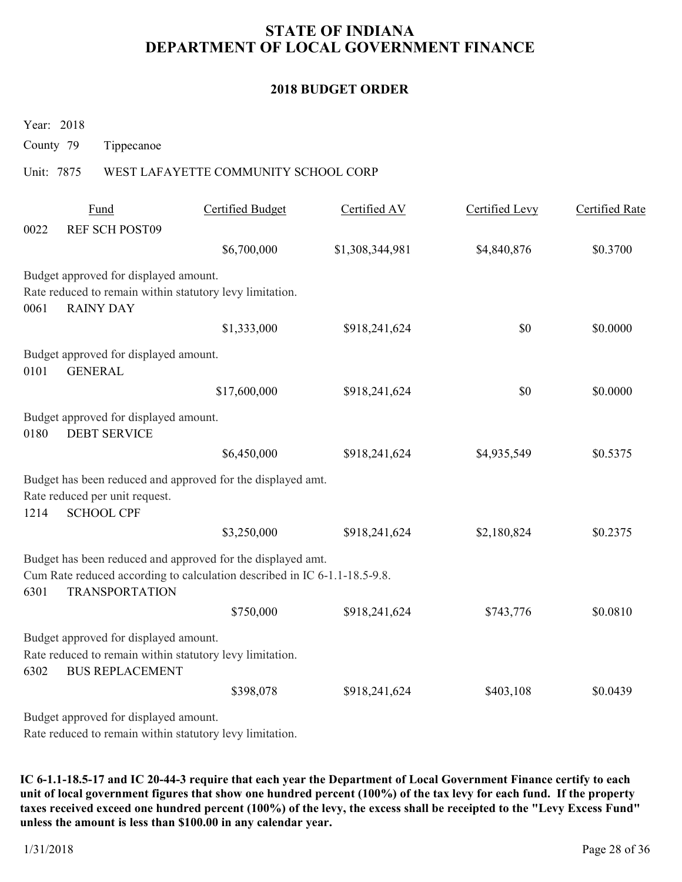### **2018 BUDGET ORDER**

Year: 2018

County 79 Tippecanoe

### Unit: 7875 WEST LAFAYETTE COMMUNITY SCHOOL CORP

|      | Fund                                                                                               | Certified Budget | Certified AV    | Certified Levy | Certified Rate |
|------|----------------------------------------------------------------------------------------------------|------------------|-----------------|----------------|----------------|
| 0022 | <b>REF SCH POST09</b>                                                                              |                  |                 |                |                |
|      |                                                                                                    | \$6,700,000      | \$1,308,344,981 | \$4,840,876    | \$0.3700       |
|      | Budget approved for displayed amount.                                                              |                  |                 |                |                |
|      | Rate reduced to remain within statutory levy limitation.                                           |                  |                 |                |                |
| 0061 | <b>RAINY DAY</b>                                                                                   |                  |                 |                |                |
|      |                                                                                                    | \$1,333,000      | \$918,241,624   | \$0            | \$0.0000       |
|      | Budget approved for displayed amount.                                                              |                  |                 |                |                |
| 0101 | <b>GENERAL</b>                                                                                     |                  |                 |                |                |
|      |                                                                                                    | \$17,600,000     | \$918,241,624   | \$0            | \$0.0000       |
| 0180 | Budget approved for displayed amount.<br><b>DEBT SERVICE</b>                                       |                  |                 |                |                |
|      |                                                                                                    | \$6,450,000      | \$918,241,624   | \$4,935,549    | \$0.5375       |
|      | Budget has been reduced and approved for the displayed amt.                                        |                  |                 |                |                |
|      | Rate reduced per unit request.                                                                     |                  |                 |                |                |
| 1214 | <b>SCHOOL CPF</b>                                                                                  |                  |                 |                |                |
|      |                                                                                                    | \$3,250,000      | \$918,241,624   | \$2,180,824    | \$0.2375       |
|      | Budget has been reduced and approved for the displayed amt.                                        |                  |                 |                |                |
| 6301 | Cum Rate reduced according to calculation described in IC 6-1.1-18.5-9.8.<br><b>TRANSPORTATION</b> |                  |                 |                |                |
|      |                                                                                                    | \$750,000        | \$918,241,624   | \$743,776      | \$0.0810       |
|      | Budget approved for displayed amount.                                                              |                  |                 |                |                |
|      | Rate reduced to remain within statutory levy limitation.                                           |                  |                 |                |                |
| 6302 | <b>BUS REPLACEMENT</b>                                                                             |                  |                 |                |                |
|      |                                                                                                    | \$398,078        | \$918,241,624   | \$403,108      | \$0.0439       |
|      | Budget approved for displayed amount.                                                              |                  |                 |                |                |
|      |                                                                                                    |                  |                 |                |                |

Rate reduced to remain within statutory levy limitation.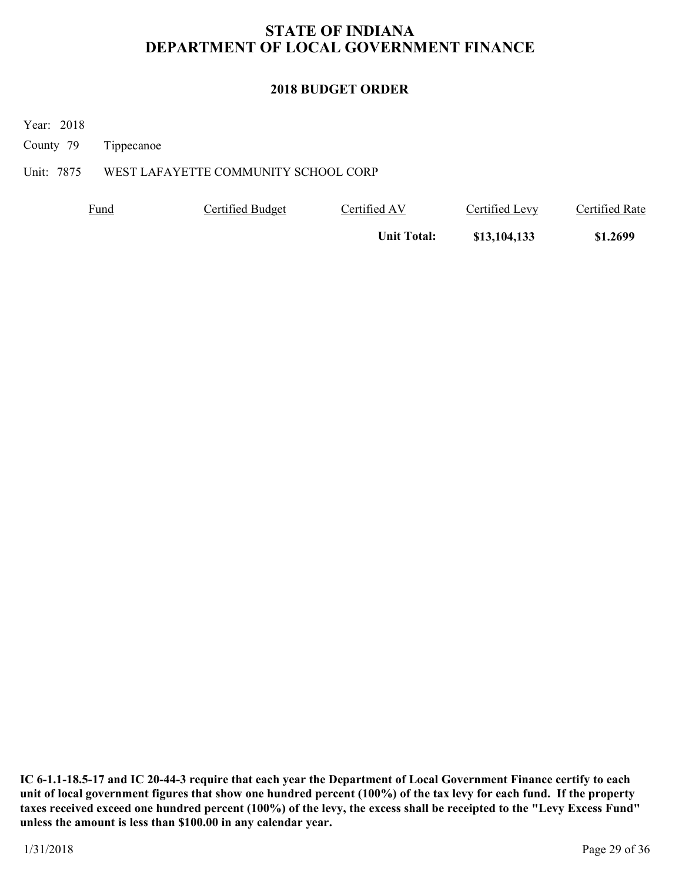# **2018 BUDGET ORDER**

Year: 2018

County 79 Tippecanoe

# Unit: 7875 WEST LAFAYETTE COMMUNITY SCHOOL CORP

| <b>Fund</b> | Certified Budget | Certified AV       | Certified Levy | Certified Rate |
|-------------|------------------|--------------------|----------------|----------------|
|             |                  | <b>Unit Total:</b> | \$13,104,133   | \$1.2699       |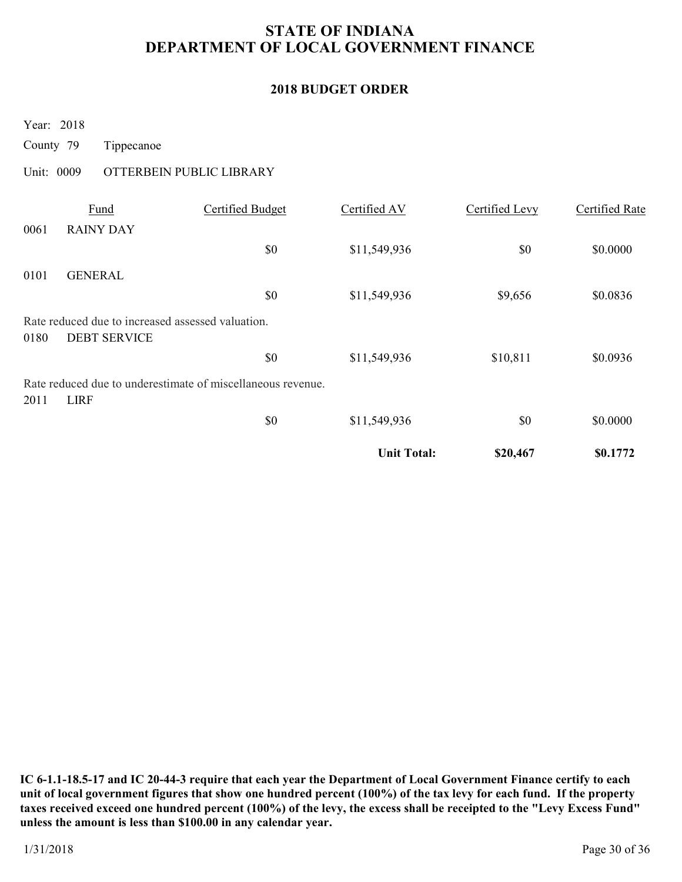### **2018 BUDGET ORDER**

Year: 2018

County 79 Tippecanoe

# Unit: 0009 OTTERBEIN PUBLIC LIBRARY

|      |                                                   |                                                             | <b>Unit Total:</b> | \$20,467       | \$0.1772              |
|------|---------------------------------------------------|-------------------------------------------------------------|--------------------|----------------|-----------------------|
|      |                                                   | \$0                                                         | \$11,549,936       | \$0            | \$0.0000              |
| 2011 | <b>LIRF</b>                                       |                                                             |                    |                |                       |
|      |                                                   | Rate reduced due to underestimate of miscellaneous revenue. |                    |                |                       |
|      |                                                   | \$0                                                         | \$11,549,936       | \$10,811       | \$0.0936              |
| 0180 | <b>DEBT SERVICE</b>                               |                                                             |                    |                |                       |
|      | Rate reduced due to increased assessed valuation. |                                                             |                    |                |                       |
|      |                                                   | \$0                                                         | \$11,549,936       | \$9,656        | \$0.0836              |
| 0101 | <b>GENERAL</b>                                    |                                                             |                    |                |                       |
|      |                                                   | \$0                                                         | \$11,549,936       | \$0            | \$0.0000              |
| 0061 | <b>RAINY DAY</b>                                  |                                                             |                    |                |                       |
|      | Fund                                              | Certified Budget                                            | Certified AV       | Certified Levy | <b>Certified Rate</b> |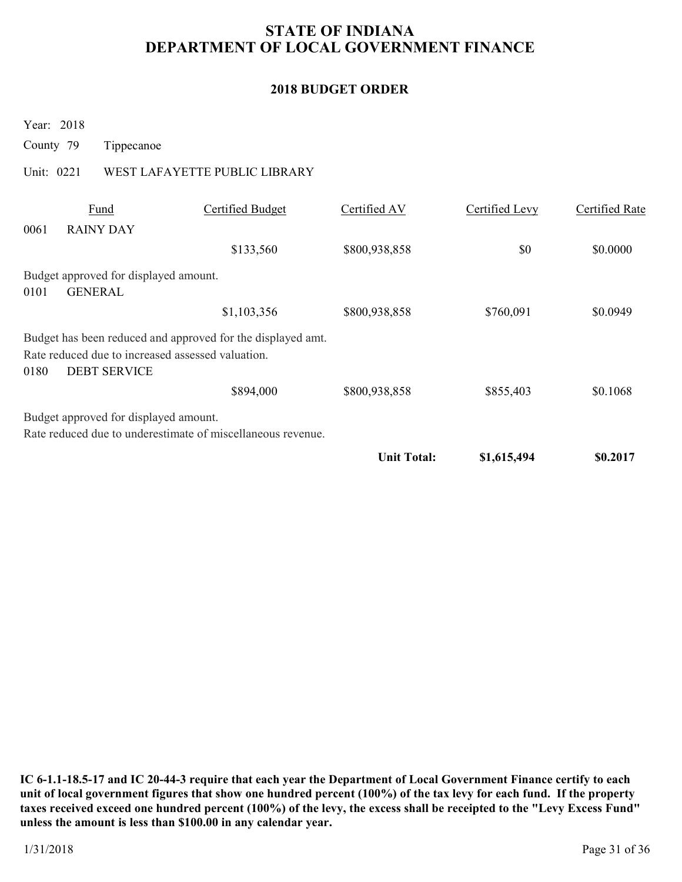### **2018 BUDGET ORDER**

Year: 2018

County 79 Tippecanoe

# Unit: 0221 WEST LAFAYETTE PUBLIC LIBRARY

|      |                                                                          |                                                             | <b>Unit Total:</b> | \$1,615,494    | \$0.2017       |
|------|--------------------------------------------------------------------------|-------------------------------------------------------------|--------------------|----------------|----------------|
|      |                                                                          | Rate reduced due to underestimate of miscellaneous revenue. |                    |                |                |
|      | Budget approved for displayed amount.                                    |                                                             |                    |                |                |
|      |                                                                          | \$894,000                                                   | \$800,938,858      | \$855,403      | \$0.1068       |
| 0180 | Rate reduced due to increased assessed valuation.<br><b>DEBT SERVICE</b> | Budget has been reduced and approved for the displayed amt. |                    |                |                |
|      |                                                                          | \$1,103,356                                                 | \$800,938,858      | \$760,091      | \$0.0949       |
| 0101 | Budget approved for displayed amount.<br><b>GENERAL</b>                  |                                                             |                    |                |                |
|      |                                                                          |                                                             |                    |                |                |
| 0061 | <b>RAINY DAY</b>                                                         | \$133,560                                                   | \$800,938,858      | \$0            | \$0.0000       |
|      | Fund                                                                     | Certified Budget                                            | Certified AV       | Certified Levy | Certified Rate |
|      |                                                                          |                                                             |                    |                |                |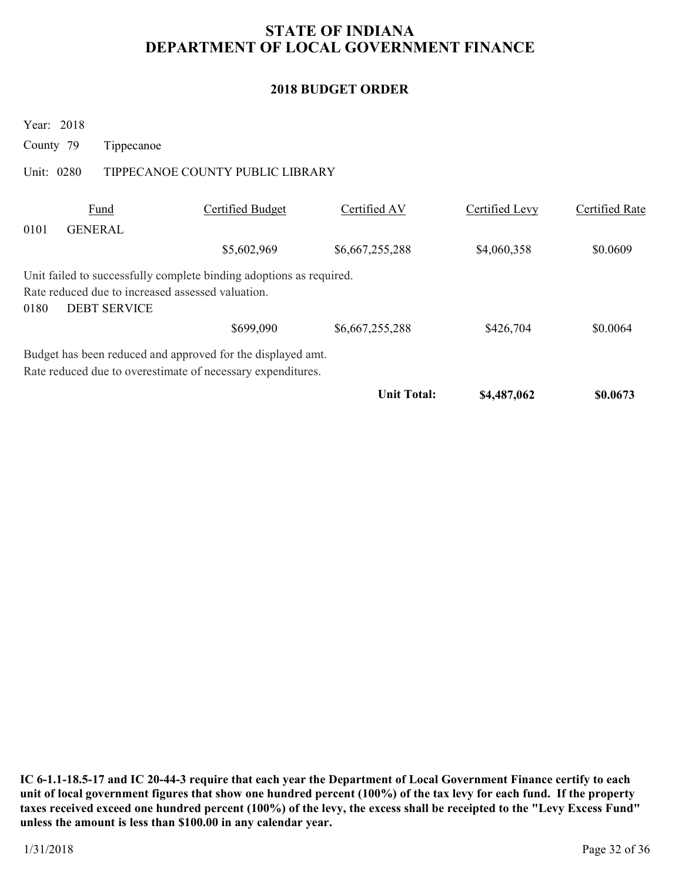# **2018 BUDGET ORDER**

| Year: 2018 |                                                                          |                                                                     |                    |                |                |
|------------|--------------------------------------------------------------------------|---------------------------------------------------------------------|--------------------|----------------|----------------|
| County 79  | Tippecanoe                                                               |                                                                     |                    |                |                |
| Unit: 0280 |                                                                          | TIPPECANOE COUNTY PUBLIC LIBRARY                                    |                    |                |                |
|            | Fund                                                                     | Certified Budget                                                    | Certified AV       | Certified Levy | Certified Rate |
| 0101       | <b>GENERAL</b>                                                           |                                                                     |                    |                |                |
|            |                                                                          | \$5,602,969                                                         | \$6,667,255,288    | \$4,060,358    | \$0.0609       |
| 0180       | Rate reduced due to increased assessed valuation.<br><b>DEBT SERVICE</b> | Unit failed to successfully complete binding adoptions as required. |                    |                |                |
|            |                                                                          | \$699,090                                                           | \$6,667,255,288    | \$426,704      | \$0.0064       |
|            |                                                                          | Budget has been reduced and approved for the displayed amt.         |                    |                |                |
|            |                                                                          | Rate reduced due to overestimate of necessary expenditures.         |                    |                |                |
|            |                                                                          |                                                                     | <b>Unit Total:</b> | \$4,487,062    | \$0.0673       |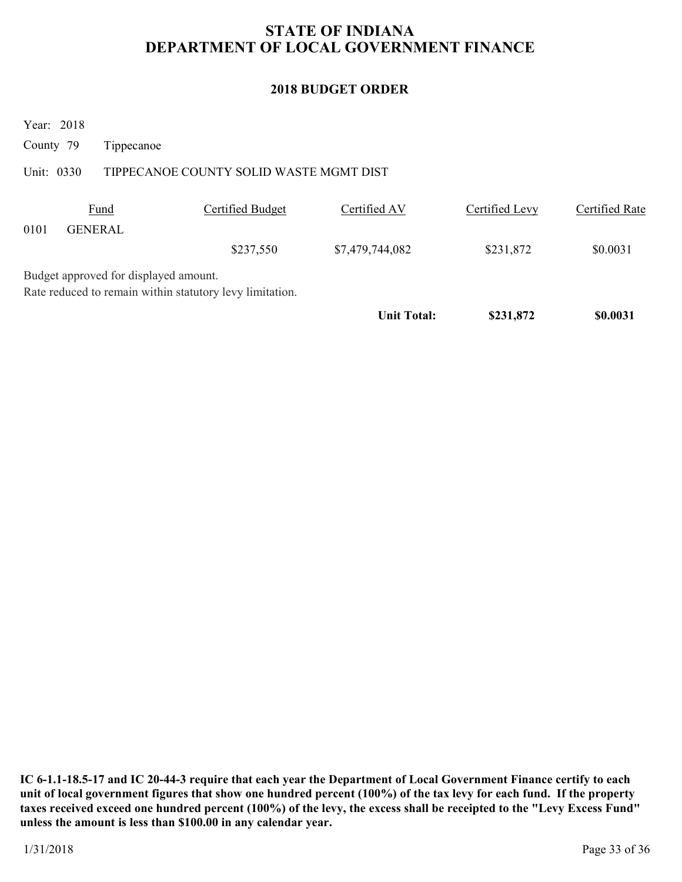# **2018 BUDGET ORDER**

Year: 2018

County 79 Tippecanoe

# Unit: 0330 TIPPECANOE COUNTY SOLID WASTE MGMT DIST

|      | <b>Fund</b>                           | Certified Budget                                         | Certified AV       | Certified Levy | Certified Rate |
|------|---------------------------------------|----------------------------------------------------------|--------------------|----------------|----------------|
| 0101 | <b>GENERAL</b>                        |                                                          |                    |                |                |
|      |                                       | \$237,550                                                | \$7,479,744,082    | \$231,872      | \$0.0031       |
|      | Budget approved for displayed amount. |                                                          |                    |                |                |
|      |                                       | Rate reduced to remain within statutory levy limitation. |                    |                |                |
|      |                                       |                                                          | <b>Unit Total:</b> | \$231,872      | \$0.0031       |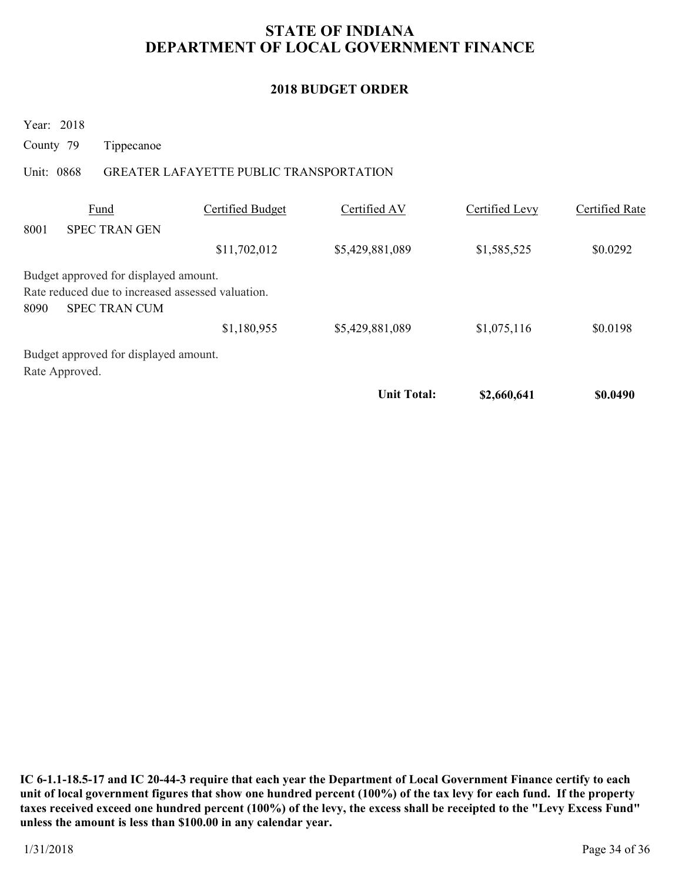### **2018 BUDGET ORDER**

Year: 2018

County 79 Tippecanoe

### Unit: 0868 GREATER LAFAYETTE PUBLIC TRANSPORTATION

|      |                                                   |                  | <b>Unit Total:</b> | \$2,660,641    | \$0.0490       |
|------|---------------------------------------------------|------------------|--------------------|----------------|----------------|
|      | Rate Approved.                                    |                  |                    |                |                |
|      | Budget approved for displayed amount.             |                  |                    |                |                |
|      |                                                   | \$1,180,955      | \$5,429,881,089    | \$1,075,116    | \$0.0198       |
| 8090 | <b>SPEC TRAN CUM</b>                              |                  |                    |                |                |
|      | Rate reduced due to increased assessed valuation. |                  |                    |                |                |
|      | Budget approved for displayed amount.             |                  |                    |                |                |
|      |                                                   | \$11,702,012     | \$5,429,881,089    | \$1,585,525    | \$0.0292       |
| 8001 | <b>SPEC TRAN GEN</b>                              |                  |                    |                |                |
|      | Fund                                              | Certified Budget | Certified AV       | Certified Levy | Certified Rate |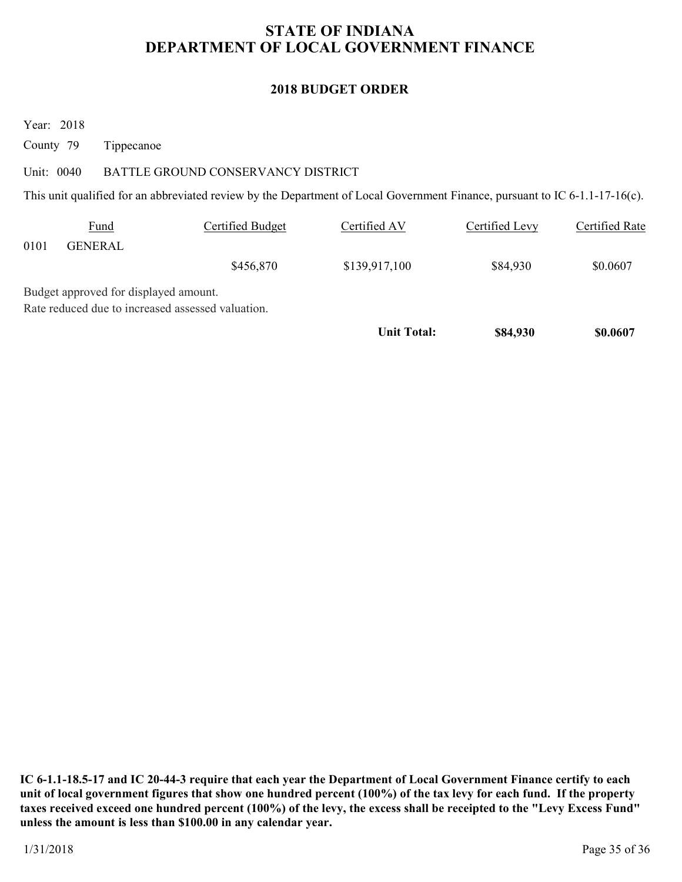### **2018 BUDGET ORDER**

Year: 2018

County 79 Tippecanoe

### Unit: 0040 BATTLE GROUND CONSERVANCY DISTRICT

This unit qualified for an abbreviated review by the Department of Local Government Finance, pursuant to IC 6-1.1-17-16(c).

|      | <b>Fund</b>                           | Certified Budget                                  | Certified AV  | Certified Levy | Certified Rate |
|------|---------------------------------------|---------------------------------------------------|---------------|----------------|----------------|
| 0101 | <b>GENERAL</b>                        |                                                   |               |                |                |
|      |                                       | \$456,870                                         | \$139,917,100 | \$84,930       | \$0.0607       |
|      | Budget approved for displayed amount. |                                                   |               |                |                |
|      |                                       | Rate reduced due to increased assessed valuation. |               |                |                |

Unit Total: **\$84,930** \$0.0607